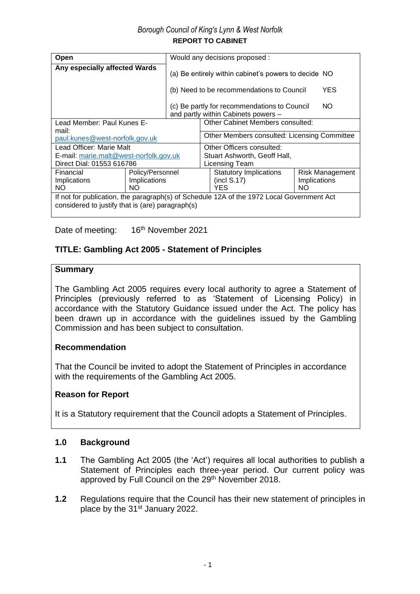# *Borough Council of King's Lynn & West Norfolk* **REPORT TO CABINET**

| Open                                                                                                                                          |  | Would any decisions proposed :                                                               |                                                                                            |  |  |  |
|-----------------------------------------------------------------------------------------------------------------------------------------------|--|----------------------------------------------------------------------------------------------|--------------------------------------------------------------------------------------------|--|--|--|
| Any especially affected Wards                                                                                                                 |  |                                                                                              | (a) Be entirely within cabinet's powers to decide NO                                       |  |  |  |
|                                                                                                                                               |  |                                                                                              | YES.<br>(b) Need to be recommendations to Council                                          |  |  |  |
|                                                                                                                                               |  |                                                                                              | NO.<br>(c) Be partly for recommendations to Council<br>and partly within Cabinets powers - |  |  |  |
| Lead Member: Paul Kunes E-                                                                                                                    |  | Other Cabinet Members consulted:                                                             |                                                                                            |  |  |  |
| mail:                                                                                                                                         |  |                                                                                              |                                                                                            |  |  |  |
| paul.kunes@west-norfolk.gov.uk                                                                                                                |  |                                                                                              | Other Members consulted: Licensing Committee                                               |  |  |  |
| Lead Officer: Marie Malt                                                                                                                      |  |                                                                                              | Other Officers consulted:                                                                  |  |  |  |
| E-mail: marie.malt@west-norfolk.gov.uk                                                                                                        |  |                                                                                              | Stuart Ashworth, Geoff Hall,                                                               |  |  |  |
| Direct Dial: 01553 616786                                                                                                                     |  | Licensing Team                                                                               |                                                                                            |  |  |  |
| Policy/Personnel<br>Financial<br>Implications<br>Implications<br>ΝO<br>NO.                                                                    |  | <b>Statutory Implications</b><br>Risk Management<br>(incl S.17)<br>Implications<br>YES<br>NΟ |                                                                                            |  |  |  |
| If not for publication, the paragraph(s) of Schedule 12A of the 1972 Local Government Act<br>considered to justify that is (are) paragraph(s) |  |                                                                                              |                                                                                            |  |  |  |

Date of meeting: 16<sup>th</sup> November 2021

# **TITLE: Gambling Act 2005 - Statement of Principles**

# **Summary**

The Gambling Act 2005 requires every local authority to agree a Statement of Principles (previously referred to as 'Statement of Licensing Policy) in accordance with the Statutory Guidance issued under the Act. The policy has been drawn up in accordance with the guidelines issued by the Gambling Commission and has been subject to consultation.

# **Recommendation**

That the Council be invited to adopt the Statement of Principles in accordance with the requirements of the Gambling Act 2005.

# **Reason for Report**

It is a Statutory requirement that the Council adopts a Statement of Principles.

# **1.0 Background**

- **1.1** The Gambling Act 2005 (the 'Act') requires all local authorities to publish a Statement of Principles each three-year period. Our current policy was approved by Full Council on the 29<sup>th</sup> November 2018.
- **1.2** Regulations require that the Council has their new statement of principles in place by the 31<sup>st</sup> January 2022.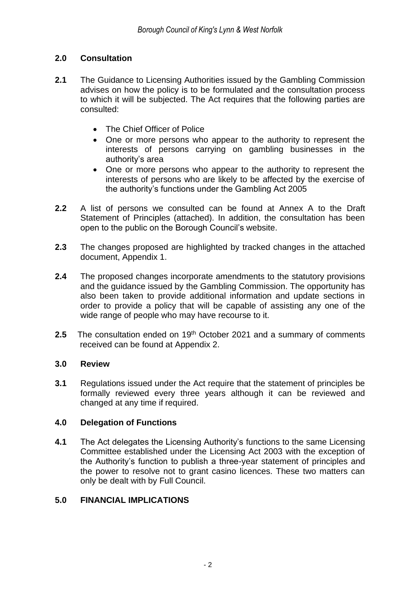# **2.0 Consultation**

- **2.1** The Guidance to Licensing Authorities issued by the Gambling Commission advises on how the policy is to be formulated and the consultation process to which it will be subjected. The Act requires that the following parties are consulted:
	- The Chief Officer of Police
	- One or more persons who appear to the authority to represent the interests of persons carrying on gambling businesses in the authority's area
	- One or more persons who appear to the authority to represent the interests of persons who are likely to be affected by the exercise of the authority's functions under the Gambling Act 2005
- **2.2** A list of persons we consulted can be found at Annex A to the Draft Statement of Principles (attached). In addition, the consultation has been open to the public on the Borough Council's website.
- **2.3** The changes proposed are highlighted by tracked changes in the attached document, Appendix 1.
- **2.4** The proposed changes incorporate amendments to the statutory provisions and the guidance issued by the Gambling Commission. The opportunity has also been taken to provide additional information and update sections in order to provide a policy that will be capable of assisting any one of the wide range of people who may have recourse to it.
- **2.5** The consultation ended on 19<sup>th</sup> October 2021 and a summary of comments received can be found at Appendix 2.

# **3.0 Review**

**3.1** Regulations issued under the Act require that the statement of principles be formally reviewed every three years although it can be reviewed and changed at any time if required.

# **4.0 Delegation of Functions**

**4.1** The Act delegates the Licensing Authority's functions to the same Licensing Committee established under the Licensing Act 2003 with the exception of the Authority's function to publish a three-year statement of principles and the power to resolve not to grant casino licences. These two matters can only be dealt with by Full Council.

# **5.0 FINANCIAL IMPLICATIONS**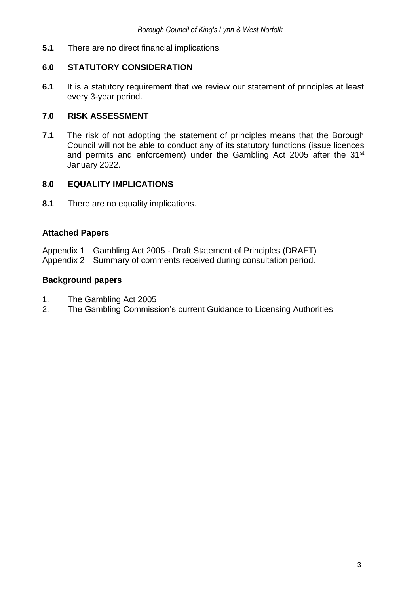**5.1** There are no direct financial implications.

# **6.0 STATUTORY CONSIDERATION**

**6.1** It is a statutory requirement that we review our statement of principles at least every 3-year period.

# **7.0 RISK ASSESSMENT**

**7.1** The risk of not adopting the statement of principles means that the Borough Council will not be able to conduct any of its statutory functions (issue licences and permits and enforcement) under the Gambling Act 2005 after the 31<sup>st</sup> January 2022.

# **8.0 EQUALITY IMPLICATIONS**

**8.1** There are no equality implications.

# **Attached Papers**

- Appendix 1 Gambling Act 2005 Draft Statement of Principles (DRAFT)
- Appendix 2 Summary of comments received during consultation period.

# **Background papers**

- 1. The Gambling Act 2005
- 2. The Gambling Commission's current Guidance to Licensing Authorities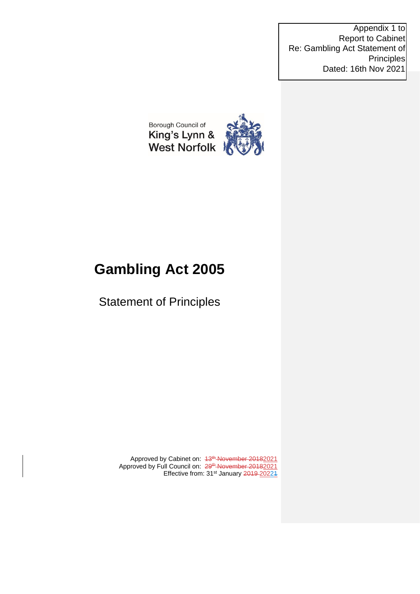Appendix 1 to Report to Cabinet Re: Gambling Act Statement of Principles Dated: 16th Nov 2021



# **Gambling Act 2005**

Statement of Principles

Approved by Cabinet on: 43<sup>th</sup> November 20182021 Approved by Full Council on: 29<sup>th</sup> November 20182021 Effective from: 31<sup>st</sup> January 2019-20221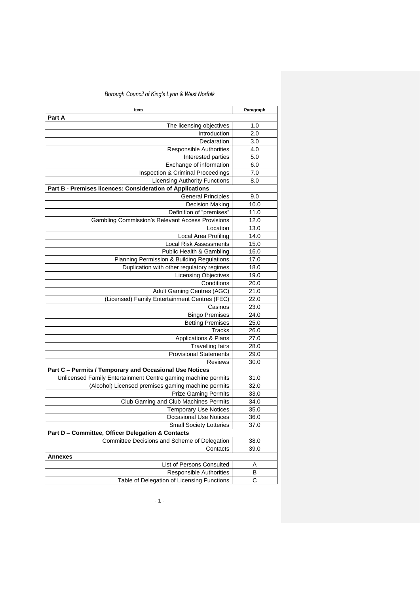| <u>Item</u>                                                                         | Paragraph    |
|-------------------------------------------------------------------------------------|--------------|
| Part A                                                                              |              |
| The licensing objectives                                                            | 1.0          |
| Introduction                                                                        | 2.0          |
| Declaration                                                                         | 3.0          |
| <b>Responsible Authorities</b>                                                      | 4.0          |
| Interested parties                                                                  | 5.0          |
| Exchange of information                                                             | 6.0          |
| Inspection & Criminal Proceedings                                                   | 7.0          |
| <b>Licensing Authority Functions</b>                                                | 8.0          |
| Part B - Premises licences: Consideration of Applications                           |              |
| <b>General Principles</b>                                                           | 9.0          |
| <b>Decision Making</b>                                                              | 10.0         |
| Definition of "premises"                                                            | 11.0         |
| <b>Gambling Commission's Relevant Access Provisions</b>                             | 12.0         |
| Location                                                                            | 13.0         |
| Local Area Profiling                                                                | 14.0         |
| <b>Local Risk Assessments</b>                                                       | 15.0         |
| Public Health & Gambling                                                            | 16.0         |
| Planning Permission & Building Regulations                                          | 17.0         |
| Duplication with other regulatory regimes                                           | 18.0         |
| <b>Licensing Objectives</b>                                                         | 19.0         |
| Conditions                                                                          | 20.0         |
| Adult Gaming Centres (AGC)                                                          | 21.0         |
| (Licensed) Family Entertainment Centres (FEC)                                       | 22.0         |
| Casinos                                                                             | 23.0         |
| <b>Bingo Premises</b>                                                               | 24.0         |
| <b>Betting Premises</b>                                                             | 25.0         |
| <b>Tracks</b>                                                                       | 26.0         |
| Applications & Plans                                                                | 27.0         |
| <b>Travelling fairs</b>                                                             | 28.0         |
| <b>Provisional Statements</b>                                                       | 29.0         |
| <b>Reviews</b>                                                                      | 30.0         |
| Part C - Permits / Temporary and Occasional Use Notices                             |              |
| Unlicensed Family Entertainment Centre gaming machine permits                       | 31.0         |
| (Alcohol) Licensed premises gaming machine permits                                  | 32.0         |
| <b>Prize Gaming Permits</b>                                                         | 33.0         |
| Club Gaming and Club Machines Permits                                               | 34.0<br>35.0 |
| <b>Temporary Use Notices</b>                                                        |              |
| <b>Occasional Use Notices</b>                                                       | 36.0         |
| <b>Small Society Lotteries</b><br>Part D - Committee, Officer Delegation & Contacts | 37.0         |
| Committee Decisions and Scheme of Delegation                                        | 38.0         |
| Contacts                                                                            | 39.0         |
| Annexes                                                                             |              |
| List of Persons Consulted                                                           | Α            |
| Responsible Authorities                                                             | в            |
| Table of Delegation of Licensing Functions                                          | C            |
|                                                                                     |              |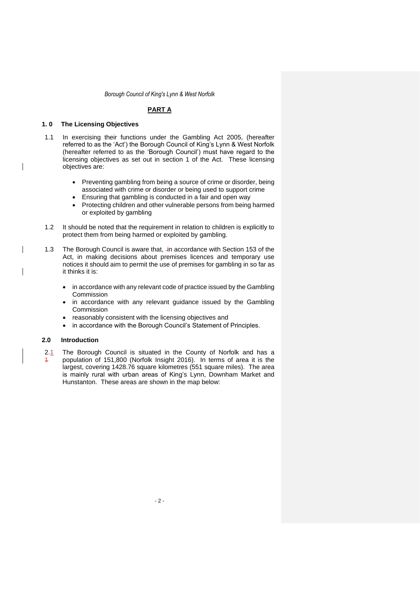### **PART A**

#### **1. 0 The Licensing Objectives**

- 1.1 In exercising their functions under the Gambling Act 2005, (hereafter referred to as the 'Act') the Borough Council of King's Lynn & West Norfolk (hereafter referred to as the 'Borough Council') must have regard to the licensing objectives as set out in section 1 of the Act. These licensing objectives are:
	- Preventing gambling from being a source of crime or disorder, being associated with crime or disorder or being used to support crime
	- Ensuring that gambling is conducted in a fair and open way
	- Protecting children and other vulnerable persons from being harmed or exploited by gambling
- 1.2 It should be noted that the requirement in relation to children is explicitly to protect them from being harmed or exploited by gambling.
- 1.3 The Borough Council is aware that, in accordance with Section 153 of the Act, in making decisions about premises licences and temporary use notices it should aim to permit the use of premises for gambling in so far as it thinks it is:
	- in accordance with any relevant code of practice issued by the Gambling Commission
	- in accordance with any relevant guidance issued by the Gambling Commission
	- reasonably consistent with the licensing objectives and
	- in accordance with the Borough Council's Statement of Principles.

#### **2.0 Introduction**

2.1  $\overline{1}$ The Borough Council is situated in the County of Norfolk and has a population of 151,800 (Norfolk Insight 2016). In terms of area it is the largest, covering 1428.76 square kilometres (551 square miles). The area is mainly rural with urban areas of King's Lynn, Downham Market and Hunstanton. These areas are shown in the map below: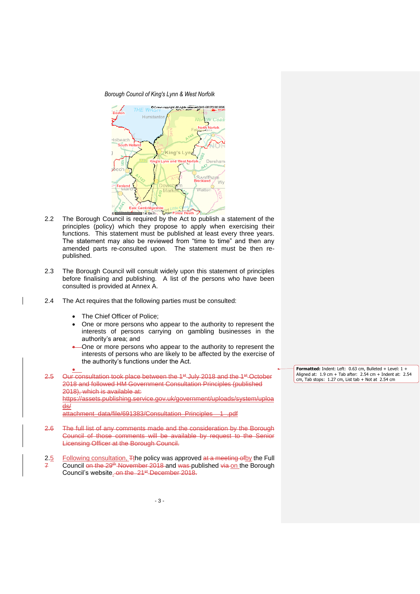

- 2.2 The Borough Council is required by the Act to publish a statement of the principles (policy) which they propose to apply when exercising their functions. This statement must be published at least every three years. The statement may also be reviewed from "time to time" and then any amended parts re-consulted upon. The statement must be then republished.
- 2.3 The Borough Council will consult widely upon this statement of principles before finalising and publishing. A list of the persons who have been consulted is provided at Annex A.
- 2.4 The Act requires that the following parties must be consulted:
	- The Chief Officer of Police;
	- One or more persons who appear to the authority to represent the interests of persons carrying on gambling businesses in the authority's area; and
	- One or more persons who appear to the authority to represent the interests of persons who are likely to be affected by the exercise of the authority's functions under the Act.

• 2.5 Our consultation took place between the 1<sup>st</sup> July 2018 and the 1<sup>st</sup> October 2018 and followed HM Government Consultation Principles (published 2018), which is available at: https://assets.publishing.service.gov.uk/government/uploads/system/uploa ds/ attachment\_data/file/691383/Consultation\_Principles\_\_1\_.pdf

- 2.6 The full list of any comments made and the consideration by the Borough Council of those comments will be available by request to the Senior Licensing Officer at the Borough Council.
- 2.5 7 Following consultation, Tthe policy was approved at a meeting of by the Full Council on the 29<sup>th</sup> November 2018 and was published via on the Borough Council's website. on the 21<sup>st</sup> December 2018.

**Formatted:** Indent: Left: 0.63 cm, Bulleted + Level: 1 + Aligned at: 1.9 cm + Tab after: 2.54 cm + Indent at: 2.54 cm, Tab stops: 1.27 cm, List tab + Not at 2.54 cm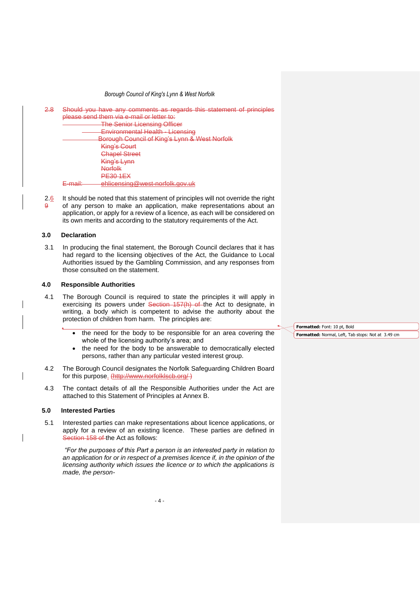| <del>2.8</del> | Should you have any comments as regards this statement of principles |
|----------------|----------------------------------------------------------------------|
|                | nlagea eand tham via a mail or lattar to:                            |
|                | The Senior Licensing Officer<br><del>ochioi Liucholing Omoci</del>   |
|                | Environmental Health - Licensing                                     |
|                | Borough Council of King's Lynn & West Norfolk                        |
|                | <b>King's Court</b>                                                  |
|                | <b>Chapel Street</b>                                                 |
|                | King's Lynn                                                          |
|                | Norfolk                                                              |
|                | <b>PE30 1EX</b>                                                      |
|                | <u>ahlicansing@wast_norfolk_gov_uk</u><br>moili                      |
|                |                                                                      |

2.6 9 It should be noted that this statement of principles will not override the right of any person to make an application, make representations about an application, or apply for a review of a licence, as each will be considered on its own merits and according to the statutory requirements of the Act.

#### **3.0 Declaration**

3.1 In producing the final statement, the Borough Council declares that it has had regard to the licensing objectives of the Act, the Guidance to Local Authorities issued by the Gambling Commission, and any responses from those consulted on the statement.

#### **4.0 Responsible Authorities**

- 4.1 The Borough Council is required to state the principles it will apply in exercising its powers under Section 157(h) of the Act to designate, in writing, a body which is competent to advise the authority about the protection of children from harm. The principles are:
	- the need for the body to be responsible for an area covering the whole of the licensing authority's area; and
	- the need for the body to be answerable to democratically elected persons, rather than any particular vested interest group.
- 4.2 The Borough Council designates the Norfolk Safeguarding Children Board for this purpose. (http://www.norfolklscb.org/)
- 4.3 The contact details of all the Responsible Authorities under the Act are attached to this Statement of Principles at Annex B.

#### **5.0 Interested Parties**

5.1 Interested parties can make representations about licence applications, or apply for a review of an existing licence. These parties are defined in Section 158 of the Act as follows:

*"For the purposes of this Part a person is an interested party in relation to an application for or in respect of a premises licence if, in the opinion of the licensing authority which issues the licence or to which the applications is made, the person-* **Formatted:** Font: 10 pt, Bold

**Formatted:** Normal, Left, Tab stops: Not at 3.49 cm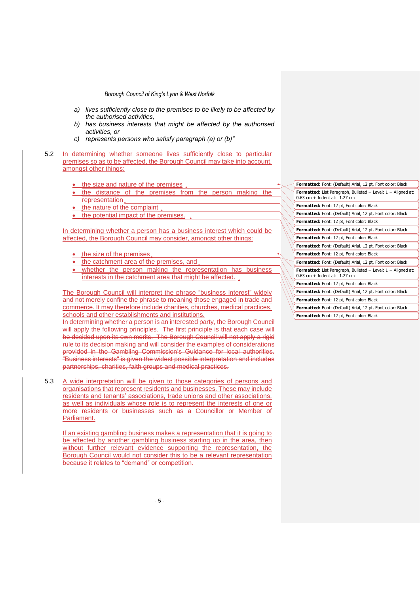- *a) lives sufficiently close to the premises to be likely to be affected by the authorised activities,*
- *b) has business interests that might be affected by the authorised activities, or*
- *c) represents persons who satisfy paragraph (a) or (b)"*
- 5.2 In determining whether someone lives sufficiently close to particular premises so as to be affected, the Borough Council may take into account, amongst other things:
	- the size and nature of the premises
	- the distance of the premises from the person making the representation
	- the nature of the complaint
	- the potential impact of the premises.

In determining whether a person has a business interest which could be affected, the Borough Council may consider, amongst other things:

- the size of the premises.
- the catchment area of the premises, and
- whether the person making the representation has business interests in the catchment area that might be affected.

The Borough Council will interpret the phrase "business interest" widely and not merely confine the phrase to meaning those engaged in trade and commerce. It may therefore include charities, churches, medical practices, schools and other establishments and institutions.

In determining whether a person is an interested party, the Borough Council will apply the following principles. The first principle is that each case will be decided upon its own merits. The Borough Council will not apply a rigid rule to its decision making and will consider the examples of considerations provided in the Gambling Commission's Guidance for local authorities. "Business interests" is given the widest possible interpretation and includes partnerships, charities, faith groups and medical practices.

5.3 A wide interpretation will be given to those categories of persons and organisations that represent residents and businesses. These may include residents and tenants' associations, trade unions and other associations, as well as individuals whose role is to represent the interests of one or more residents or businesses such as a Councillor or Member of Parliament.

If an existing gambling business makes a representation that it is going to be affected by another gambling business starting up in the area, then without further relevant evidence supporting the representation, the Borough Council would not consider this to be a relevant representation because it relates to "demand" or competition.

| Formatted: Font: (Default) Arial, 12 pt, Font color: Black                                              |
|---------------------------------------------------------------------------------------------------------|
| <b>Formatted:</b> List Paragraph, Bulleted + Level: $1 +$ Aligned at:<br>$0.63$ cm + Indent at: 1.27 cm |
| Formatted: Font: 12 pt, Font color: Black                                                               |
| Formatted: Font: (Default) Arial, 12 pt, Font color: Black                                              |
| Formatted: Font: 12 pt, Font color: Black                                                               |
| Formatted: Font: (Default) Arial, 12 pt, Font color: Black                                              |
| <b>Formatted:</b> Font: 12 pt, Font color: Black                                                        |
| <b>Formatted:</b> Font: (Default) Arial, 12 pt, Font color: Black                                       |
| Formatted: Font: 12 pt, Font color: Black                                                               |
| Formatted: Font: (Default) Arial, 12 pt, Font color: Black                                              |
| <b>Formatted:</b> List Paragraph, Bulleted + Level: $1 +$ Aligned at:<br>$0.63$ cm + Indent at: 1.27 cm |
| Formatted: Font: 12 pt, Font color: Black                                                               |
| <b>Formatted:</b> Font: (Default) Arial, 12 pt, Font color: Black                                       |
| <b>Formatted:</b> Font: 12 pt, Font color: Black                                                        |
| Formatted: Font: (Default) Arial, 12 pt, Font color: Black                                              |
| <b>Formatted:</b> Font: 12 pt. Font color: Black                                                        |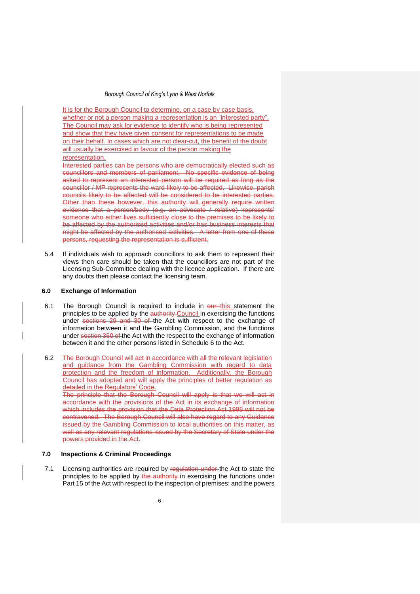It is for the Borough Council to determine, on a case by case basis, whether or not a person making a representation is an "interested party". The Council may ask for evidence to identify who is being represented and show that they have given consent for representations to be made on their behalf. In cases which are not clear-cut, the benefit of the doubt will usually be exercised in favour of the person making the representation.

Interested parties can be persons who are democratically elected such as councillors and members of parliament. No specific evidence of being asked to represent an interested person will be required as long as the councillor / MP represents the ward likely to be affected. Likewise, parish councils likely to be affected will be considered to be interested parties. Other than these however, this authority will generally require written evidence that a person/body (e.g. an advocate / relative) 'represents' someone who either lives sufficiently close to the premises to be likely to be affected by the authorised activities and/or has business interests that might be affected by the authorised activities. A letter from one of these persons, requesting the representation is sufficient.

5.4 If individuals wish to approach councillors to ask them to represent their views then care should be taken that the councillors are not part of the Licensing Sub-Committee dealing with the licence application. If there are any doubts then please contact the licensing team.

## **6.0 Exchange of Information**

- 6.1 The Borough Council is required to include in our this statement the principles to be applied by the authority Council in exercising the functions under sections 29 and 30 of the Act with respect to the exchange of information between it and the Gambling Commission, and the functions under section 350 of the Act with the respect to the exchange of information between it and the other persons listed in Schedule 6 to the Act.
- 6.2 The Borough Council will act in accordance with all the relevant legislation and guidance from the Gambling Commission with regard to data protection and the freedom of information. Additionally, the Borough Council has adopted and will apply the principles of better regulation as detailed in the Regulators' Code.

The principle that the Borough Council will apply is that we will act in accordance with the provisions of the Act in its exchange of information which includes the provision that the Data Protection Act 1998 will not be contravened. The Borough Council will also have regard to any Guidance issued by the Gambling Commission to local authorities on this matter, as well as any relevant regulations issued by the Secretary of State under the powers provided in the Act.

#### **7.0 Inspections & Criminal Proceedings**

7.1 Licensing authorities are required by regulation under the Act to state the principles to be applied by the authority in exercising the functions under Part 15 of the Act with respect to the inspection of premises; and the powers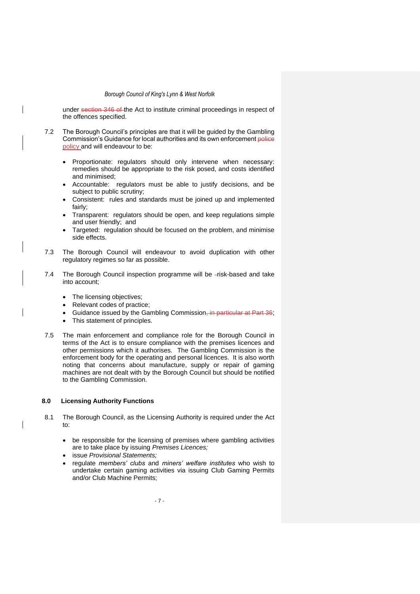under section 346 of the Act to institute criminal proceedings in respect of the offences specified.

- 7.2 The Borough Council's principles are that it will be guided by the Gambling Commission's Guidance for local authorities and its own enforcement police policy and will endeavour to be:
	- Proportionate: regulators should only intervene when necessary: remedies should be appropriate to the risk posed, and costs identified and minimised;
	- Accountable: regulators must be able to justify decisions, and be subject to public scrutiny;
	- Consistent: rules and standards must be joined up and implemented fairly;
	- Transparent: regulators should be open, and keep regulations simple and user friendly; and
	- Targeted: regulation should be focused on the problem, and minimise side effects.
- 7.3 The Borough Council will endeavour to avoid duplication with other regulatory regimes so far as possible.
- 7.4 The Borough Council inspection programme will be -risk-based and take into account;
	- The licensing objectives;
	- Relevant codes of practice;
	- Guidance issued by the Gambling Commission, in particular at Part 36;
	- This statement of principles.
- 7.5 The main enforcement and compliance role for the Borough Council in terms of the Act is to ensure compliance with the premises licences and other permissions which it authorises. The Gambling Commission is the enforcement body for the operating and personal licences. It is also worth noting that concerns about manufacture, supply or repair of gaming machines are not dealt with by the Borough Council but should be notified to the Gambling Commission.

### **8.0 Licensing Authority Functions**

- 8.1 The Borough Council, as the Licensing Authority is required under the Act to:
	- be responsible for the licensing of premises where gambling activities are to take place by issuing *Premises Licences;*
	- issue *Provisional Statements;*
	- regulate *members' clubs* and *miners' welfare institutes* who wish to undertake certain gaming activities via issuing Club Gaming Permits and/or Club Machine Permits;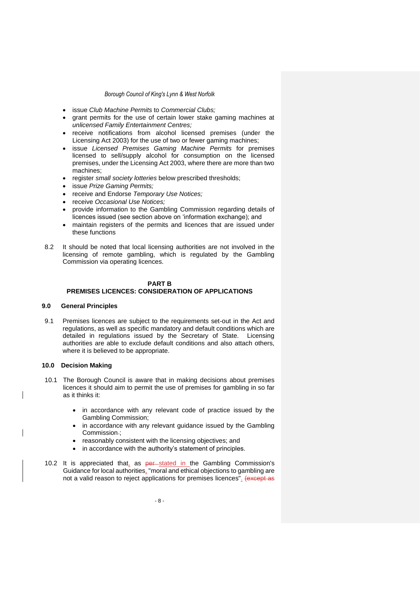- issue *Club Machine Permits* to *Commercial Clubs;*
- grant permits for the use of certain lower stake gaming machines at *unlicensed Family Entertainment Centres;*
- receive notifications from alcohol licensed premises (under the Licensing Act 2003) for the use of two or fewer gaming machines;
- issue *Licensed Premises Gaming Machine Permits* for premises licensed to sell/supply alcohol for consumption on the licensed premises, under the Licensing Act 2003, where there are more than two machines;
- register *small society lotteries* below prescribed thresholds;
- issue *Prize Gaming Permits;*
- receive and Endorse *Temporary Use Notices;*
- receive *Occasional Use Notices;*
- provide information to the Gambling Commission regarding details of licences issued (see section above on 'information exchange); and
- maintain registers of the permits and licences that are issued under these functions
- 8.2 It should be noted that local licensing authorities are not involved in the licensing of remote gambling, which is regulated by the Gambling Commission via operating licences.

## **PART B**

### **PREMISES LICENCES: CONSIDERATION OF APPLICATIONS**

### **9.0 General Principles**

9.1 Premises licences are subject to the requirements set-out in the Act and regulations, as well as specific mandatory and default conditions which are detailed in regulations issued by the Secretary of State. Licensing authorities are able to exclude default conditions and also attach others, where it is believed to be appropriate.

#### **10.0 Decision Making**

- 10.1 The Borough Council is aware that in making decisions about premises licences it should aim to permit the use of premises for gambling in so far as it thinks it:
	- in accordance with any relevant code of practice issued by the Gambling Commission;
	- in accordance with any relevant guidance issued by the Gambling Commission-;
	- reasonably consistent with the licensing objectives; and
	- in accordance with the authority's statement of principles.
- 10.2 It is appreciated that, as per-stated in the Gambling Commission's Guidance for local authorities, "moral and ethical objections to gambling are not a valid reason to reject applications for premises licences". (except as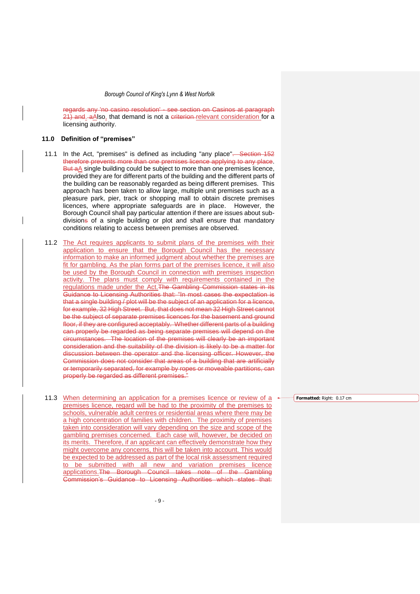regards any 'no casino resolution' - see section on Casinos at paragraph 21) and aAlso, that demand is not a criterion-relevant consideration for a licensing authority.

### **11.0 Definition of "premises"**

- 11.1 In the Act, "premises" is defined as including "any place". Section 152 therefore prevents more than one premises licence applying to any place. But aA single building could be subject to more than one premises licence, provided they are for different parts of the building and the different parts of the building can be reasonably regarded as being different premises. This approach has been taken to allow large, multiple unit premises such as a pleasure park, pier, track or shopping mall to obtain discrete premises licences, where appropriate safeguards are in place. However, the Borough Council shall pay particular attention if there are issues about subdivisions of a single building or plot and shall ensure that mandatory conditions relating to access between premises are observed.
- 11.2 The Act requires applicants to submit plans of the premises with their application to ensure that the Borough Council has the necessary information to make an informed judgment about whether the premises are fit for gambling. As the plan forms part of the premises licence, it will also be used by the Borough Council in connection with premises inspection activity. The plans must comply with requirements contained in the regulations made under the Act. The Gambling Commission states in its Guidance to Licensing Authorities that: "In most cases the expectation is that a single building / plot will be the subject of an application for a licence, for example, 32 High Street. But, that does not mean 32 High Street cannot be the subject of separate premises licences for the basement and ground floor, if they are configured acceptably. Whether different parts of a building can properly be regarded as being separate premises will depend on the circumstances. The location of the premises will clearly be an important consideration and the suitability of the division is likely to be a matter for discussion between the operator and the licensing officer. However, the Commission does not consider that areas of a building that are artificially or temporarily separated, for example by ropes or moveable partitions, can properly be regarded as different premises."
- 11.3 When determining an application for a premises licence or review of a premises licence, regard will be had to the proximity of the premises to schools, vulnerable adult centres or residential areas where there may be a high concentration of families with children. The proximity of premises taken into consideration will vary depending on the size and scope of the gambling premises concerned. Each case will, however, be decided on its merits. Therefore, if an applicant can effectively demonstrate how they might overcome any concerns, this will be taken into account. This would be expected to be addressed as part of the local risk assessment required to be submitted with all new and variation premises licence applications.The Borough Council takes note of the Gambling Commission's Guidance to Licensing Authorities which states that:

**Formatted:** Right: 0.17 cm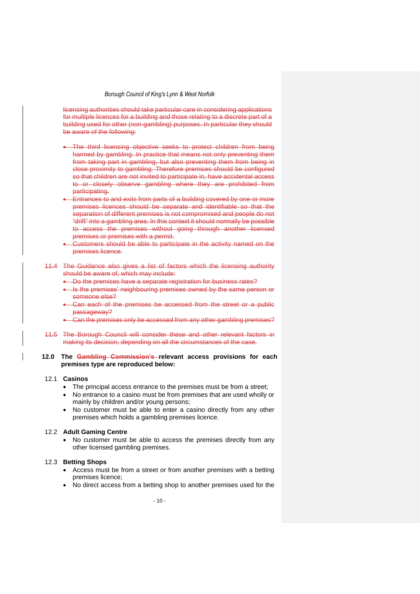licensing authorities should take particular care in considering applications for multiple licences for a building and those relating to a discrete part of a building used for other (non-gambling) purposes. In particular they should be aware of the following:

- The third licensing objective seeks to protect children from being harmed by gambling. In practice that means not only preventing them from taking part in gambling, but also preventing them from being in close proximity to gambling. Therefore premises should be configured so that children are not invited to participate in, have accidental access to or closely observe gambling where they are prohibited from participating.
- Entrances to and exits from parts of a building covered by one or more premises licences should be separate and identifiable so that the separation of different premises is not compromised and people do not "drift" into a gambling area. In this context it should normally be possible to access the premises without going through another licensed premises or premises with a permit.
- Customers should be able to participate in the activity named on the premises licence.

#### 11.4 The Guidance also gives a list of factors which the licensing authority should be aware of, which may include:

- Do the premises have a separate registration for business rates?
- Is the premises' neighbouring premises owned by the same person or someone else?
- Can each of the premises be accessed from the street or a public passageway?
- Can the premises only be accessed from any other gambling premises?
- 11.5 The Borough Council will consider these and other relevant factors in making its decision, depending on all the circumstances of the case.

#### **12.0 The Gambling Commission's relevant access provisions for each premises type are reproduced below:**

### 12.1 **Casinos**

- The principal access entrance to the premises must be from a street;
- No entrance to a casino must be from premises that are used wholly or mainly by children and/or young persons;
- No customer must be able to enter a casino directly from any other premises which holds a gambling premises licence.

#### 12.2 **Adult Gaming Centre**

No customer must be able to access the premises directly from any other licensed gambling premises.

#### 12.3 **Betting Shops**

- Access must be from a street or from another premises with a betting premises licence;
- No direct access from a betting shop to another premises used for the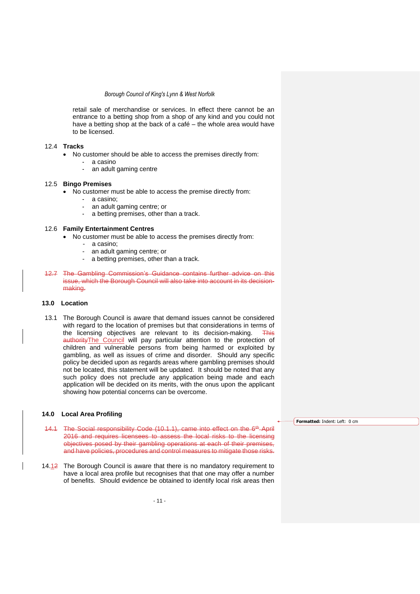retail sale of merchandise or services. In effect there cannot be an entrance to a betting shop from a shop of any kind and you could not have a betting shop at the back of a café – the whole area would have to be licensed.

#### 12.4 **Tracks**

- No customer should be able to access the premises directly from:
	- a casino
		- an adult gaming centre

#### 12.5 **Bingo Premises**

- No customer must be able to access the premise directly from:
	- a casino;<br>- an adult o
	- an adult gaming centre; or
	- a betting premises, other than a track.

#### 12.6 **Family Entertainment Centres**

- No customer must be able to access the premises directly from:
	- a casino;
	- an adult gaming centre; or
	- a betting premises, other than a track.
- 12.7 The Gambling Commission's Guidance contains further advice on this issue, which the Borough Council will also take into account in its decisionmaking.

### **13.0 Location**

13.1 The Borough Council is aware that demand issues cannot be considered with regard to the location of premises but that considerations in terms of the licensing objectives are relevant to its decision-making. This authorityThe Council will pay particular attention to the protection of children and vulnerable persons from being harmed or exploited by gambling, as well as issues of crime and disorder. Should any specific policy be decided upon as regards areas where gambling premises should not be located, this statement will be updated. It should be noted that any such policy does not preclude any application being made and each application will be decided on its merits, with the onus upon the applicant showing how potential concerns can be overcome.

## **14.0 Local Area Profiling**

- 14.1 The Social responsibility Code (10.1.1), came into effect on the 6<sup>th</sup> April 2016 and requires licensees to assess the local risks to the licensing objectives posed by their gambling operations at each of their premises, and have policies, procedures and control measures to mitigate those risks.
- 14.12 The Borough Council is aware that there is no mandatory requirement to have a local area profile but recognises that that one may offer a number of benefits. Should evidence be obtained to identify local risk areas then

**Formatted:** Indent: Left: 0 cm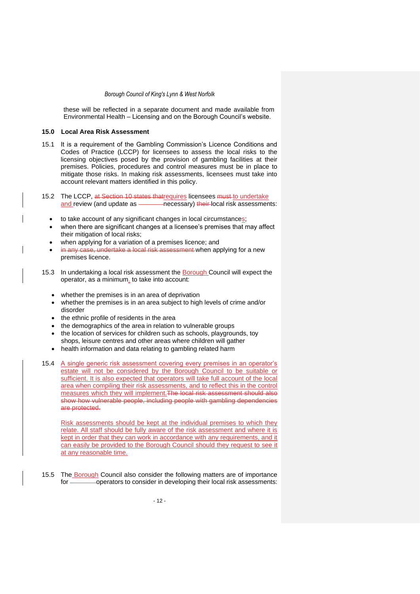these will be reflected in a separate document and made available from Environmental Health – Licensing and on the Borough Council's website.

#### **15.0 Local Area Risk Assessment**

- 15.1 It is a requirement of the Gambling Commission's Licence Conditions and Codes of Practice (LCCP) for licensees to assess the local risks to the licensing objectives posed by the provision of gambling facilities at their premises. Policies, procedures and control measures must be in place to mitigate those risks. In making risk assessments, licensees must take into account relevant matters identified in this policy.
- 15.2 The LCCP, at Section 10 states that requires licensees must to undertake<br>and review (and update as \_\_\_\_\_\_\_\_\_\_necessary) their-local risk assessment **and review of the update as incredent** and update assessments:
	- to take account of any significant changes in local circumstances;
	- when there are significant changes at a licensee's premises that may affect their mitigation of local risks;
	- when applying for a variation of a premises licence; and
	- in any case, undertake a local risk assessment when applying for a new premises licence.
- 15.3 In undertaking a local risk assessment the **Borough Council will expect the** operator, as a minimum. to take into account:
	- whether the premises is in an area of deprivation
	- whether the premises is in an area subject to high levels of crime and/or disorder
	- the ethnic profile of residents in the area
	- the demographics of the area in relation to vulnerable groups
	- the location of services for children such as schools, playgrounds, toy shops, leisure centres and other areas where children will gather
	- health information and data relating to gambling related harm
- 15.4 A single generic risk assessment covering every premises in an operator's estate will not be considered by the Borough Council to be suitable or sufficient. It is also expected that operators will take full account of the local area when compiling their risk assessments, and to reflect this in the control measures which they will implement. The local risk assessment should also show how vulnerable people, including people with gambling dependencies are protected.

Risk assessments should be kept at the individual premises to which they relate. All staff should be fully aware of the risk assessment and where it is kept in order that they can work in accordance with any requirements, and it can easily be provided to the Borough Council should they request to see it at any reasonable time.

15.5 The Borough Council also consider the following matters are of importance for **constants** operators to consider in developing their local risk assessments: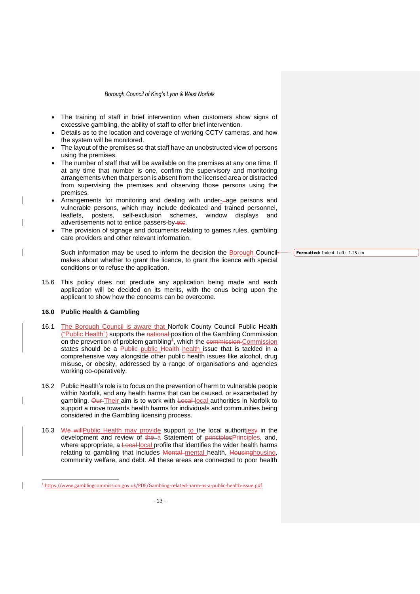- The training of staff in brief intervention when customers show signs of excessive gambling, the ability of staff to offer brief intervention.
- Details as to the location and coverage of working CCTV cameras, and how the system will be monitored.
- The layout of the premises so that staff have an unobstructed view of persons using the premises.
- The number of staff that will be available on the premises at any one time. If at any time that number is one, confirm the supervisory and monitoring arrangements when that person is absent from the licensed area or distracted from supervising the premises and observing those persons using the premises.
- Arrangements for monitoring and dealing with under--age persons and vulnerable persons, which may include dedicated and trained personnel, leaflets, posters, self-exclusion schemes, window displays and advertisements not to entice passers-by-etc.
- The provision of signage and documents relating to games rules, gambling care providers and other relevant information.

Such information may be used to inform the decision the Borough Council makes about whether to grant the licence, to grant the licence with special conditions or to refuse the application.

15.6 This policy does not preclude any application being made and each application will be decided on its merits, with the onus being upon the applicant to show how the concerns can be overcome.

### **16.0 Public Health & Gambling**

- 16.1 The Borough Council is aware that Norfolk County Council Public Health ("Public Health") supports the national position of the Gambling Commission on the prevention of problem gambling<sup>+</sup>, which the commission-Commission states should be a Public public Health-health issue that is tackled in a comprehensive way alongside other public health issues like alcohol, drug misuse, or obesity, addressed by a range of organisations and agencies working co-operatively.
- 16.2 Public Health's role is to focus on the prevention of harm to vulnerable people within Norfolk, and any health harms that can be caused, or exacerbated by gambling. Our Their aim is to work with Local local authorities in Norfolk to support a move towards health harms for individuals and communities being considered in the Gambling licensing process.
- 16.3 We will Public Health may provide support to the local authorities y in the development and review of the a Statement of principlesPrinciples, and, where appropriate, a Local local profile that identifies the wider health harms relating to gambling that includes Mental mental health, Housinghousing, community welfare, and debt. All these areas are connected to poor health

**Formatted:** Indent: Left: 1.25 cm

<sup>1</sup> https://www.gamblingcommission.gov.uk/PDF/Gambling-related-harm-as-a-public-health-issue.pdf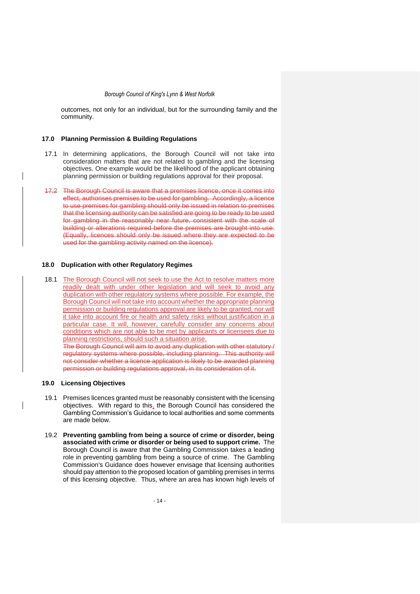outcomes, not only for an individual, but for the surrounding family and the community.

### **17.0 Planning Permission & Building Regulations**

- 17.1 In determining applications, the Borough Council will not take into consideration matters that are not related to gambling and the licensing objectives. One example would be the likelihood of the applicant obtaining planning permission or building regulations approval for their proposal.
- 17.2 The Borough Council is aware that a premises licence, once it comes into effect, authorises premises to be used for gambling. Accordingly, a licence to use premises for gambling should only be issued in relation to premises that the licensing authority can be satisfied are going to be ready to be used for gambling in the reasonably near future, consistent with the scale of building or alterations required before the premises are brought into use. (Equally, licences should only be issued where they are expected to be used for the gambling activity named on the licence).

#### **18.0 Duplication with other Regulatory Regimes**

18.1 The Borough Council will not seek to use the Act to resolve matters more readily dealt with under other legislation and will seek to avoid any duplication with other regulatory systems where possible. For example, the Borough Council will not take into account whether the appropriate planning permission or building regulations approval are likely to be granted, nor will it take into account fire or health and safety risks without justification in a particular case. It will, however, carefully consider any concerns about conditions which are not able to be met by applicants or licensees due to planning restrictions, should such a situation arise.

The Borough Council will aim to avoid any duplication with other statutory / regulatory systems where possible, including planning. This authority will not consider whether a licence application is likely to be awarded planning permission or building regulations approval, in its consideration of it.

#### **19.0 Licensing Objectives**

- 19.1 Premises licences granted must be reasonably consistent with the licensing objectives. With regard to this, the Borough Council has considered the Gambling Commission's Guidance to local authorities and some comments are made below.
- 19.2 **Preventing gambling from being a source of crime or disorder, being associated with crime or disorder or being used to support crime.** The Borough Council is aware that the Gambling Commission takes a leading role in preventing gambling from being a source of crime. The Gambling Commission's Guidance does however envisage that licensing authorities should pay attention to the proposed location of gambling premises in terms of this licensing objective. Thus, where an area has known high levels of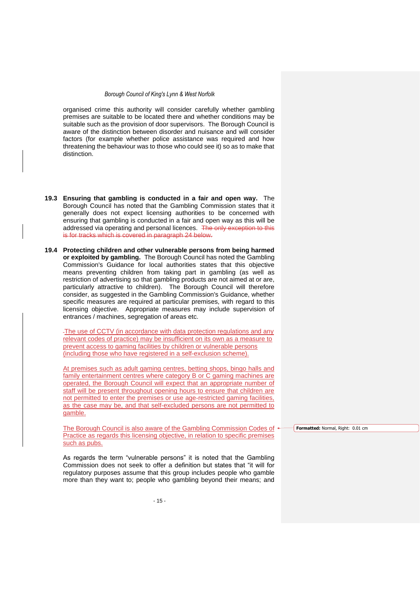organised crime this authority will consider carefully whether gambling premises are suitable to be located there and whether conditions may be suitable such as the provision of door supervisors. The Borough Council is aware of the distinction between disorder and nuisance and will consider factors (for example whether police assistance was required and how threatening the behaviour was to those who could see it) so as to make that distinction.

- **19.3 Ensuring that gambling is conducted in a fair and open way.** The Borough Council has noted that the Gambling Commission states that it generally does not expect licensing authorities to be concerned with ensuring that gambling is conducted in a fair and open way as this will be addressed via operating and personal licences. The only exception to this is for tracks which is covered in paragraph 24 below.
- **19.4 Protecting children and other vulnerable persons from being harmed or exploited by gambling.** The Borough Council has noted the Gambling Commission's Guidance for local authorities states that this objective means preventing children from taking part in gambling (as well as restriction of advertising so that gambling products are not aimed at or are, particularly attractive to children). The Borough Council will therefore consider, as suggested in the Gambling Commission's Guidance, whether specific measures are required at particular premises, with regard to this licensing objective. Appropriate measures may include supervision of entrances / machines, segregation of areas etc.

-The use of CCTV (in accordance with data protection regulations and any relevant codes of practice) may be insufficient on its own as a measure to prevent access to gaming facilities by children or vulnerable persons (including those who have registered in a self-exclusion scheme).

At premises such as adult gaming centres, betting shops, bingo halls and family entertainment centres where category B or C gaming machines are operated, the Borough Council will expect that an appropriate number of staff will be present throughout opening hours to ensure that children are not permitted to enter the premises or use age-restricted gaming facilities, as the case may be, and that self-excluded persons are not permitted to gamble.

The Borough Council is also aware of the Gambling Commission Codes of Practice as regards this licensing objective, in relation to specific premises such as pubs.

As regards the term "vulnerable persons" it is noted that the Gambling Commission does not seek to offer a definition but states that "it will for regulatory purposes assume that this group includes people who gamble more than they want to; people who gambling beyond their means; and **Formatted:** Normal, Right: 0.01 cm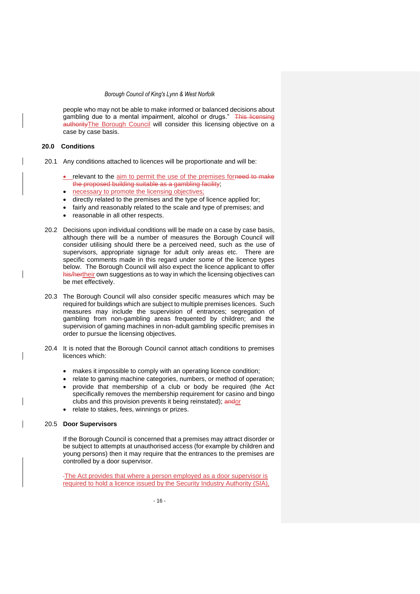people who may not be able to make informed or balanced decisions about gambling due to a mental impairment, alcohol or drugs." This licensing authorityThe Borough Council will consider this licensing objective on a case by case basis.

#### **20.0 Conditions**

- 20.1 Any conditions attached to licences will be proportionate and will be:
	- relevant to the aim to permit the use of the premises forneed to make the proposed building suitable as a gambling facility;
	- necessary to promote the licensing objectives;
	- directly related to the premises and the type of licence applied for;
	- fairly and reasonably related to the scale and type of premises; and
	- reasonable in all other respects.
- 20.2 Decisions upon individual conditions will be made on a case by case basis, although there will be a number of measures the Borough Council will consider utilising should there be a perceived need, such as the use of supervisors, appropriate signage for adult only areas etc. There are specific comments made in this regard under some of the licence types below. The Borough Council will also expect the licence applicant to offer his/hertheir own suggestions as to way in which the licensing objectives can be met effectively.
- 20.3 The Borough Council will also consider specific measures which may be required for buildings which are subject to multiple premises licences. Such measures may include the supervision of entrances; segregation of gambling from non-gambling areas frequented by children; and the supervision of gaming machines in non-adult gambling specific premises in order to pursue the licensing objectives.
- 20.4 It is noted that the Borough Council cannot attach conditions to premises licences which:
	- makes it impossible to comply with an operating licence condition;
	- relate to gaming machine categories, numbers, or method of operation; • provide that membership of a club or body be required (the Act
	- specifically removes the membership requirement for casino and bingo clubs and this provision prevents it being reinstated); andor
	- relate to stakes, fees, winnings or prizes.

#### 20.5 **Door Supervisors**

If the Borough Council is concerned that a premises may attract disorder or be subject to attempts at unauthorised access (for example by children and young persons) then it may require that the entrances to the premises are controlled by a door supervisor.

The Act provides that where a person employed as a door supervisor is required to hold a licence issued by the Security Industry Authority (SIA),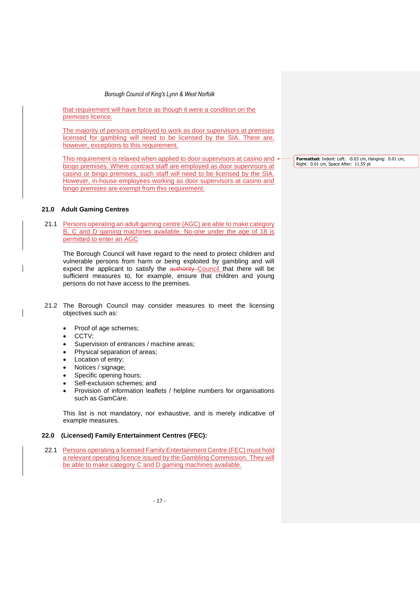that requirement will have force as though it were a condition on the premises licence.

The majority of persons employed to work as door supervisors at premises licensed for gambling will need to be licensed by the SIA. There are, however, exceptions to this requirement.

This requirement is relaxed when applied to door supervisors at casino and bingo premises. Where contract staff are employed as door supervisors at casino or bingo premises, such staff will need to be licensed by the SIA. However, in-house employees working as door supervisors at casino and bingo premises are exempt from this requirement.

### **21.0 Adult Gaming Centres**

21.1 Persons operating an adult gaming centre (AGC) are able to make category B, C and D gaming machines available. No-one under the age of 18 is permitted to enter an AGC

The Borough Council will have regard to the need to protect children and vulnerable persons from harm or being exploited by gambling and will expect the applicant to satisfy the authority Council that there will be sufficient measures to, for example, ensure that children and young persons do not have access to the premises.

- 21.2 The Borough Council may consider measures to meet the licensing objectives such as:
	- Proof of age schemes;
	- CCTV;
	- Supervision of entrances / machine areas;
	- Physical separation of areas;
	- Location of entry;
	- Notices / signage;
	- Specific opening hours;
	- Self-exclusion schemes; and
	- Provision of information leaflets / helpline numbers for organisations such as GamCare.

This list is not mandatory, nor exhaustive, and is merely indicative of example measures.

- **22.0 (Licensed) Family Entertainment Centres (FEC):**
- 22.1 Persons operating a licensed Family Entertainment Centre (FEC) must hold a relevant operating licence issued by the Gambling Commission. They will be able to make category C and D gaming machines available.

**Formatted:** Indent: Left: -0.03 cm, Hanging: 0.01 cm, Right: 0.01 cm, Space After: 11.55 pt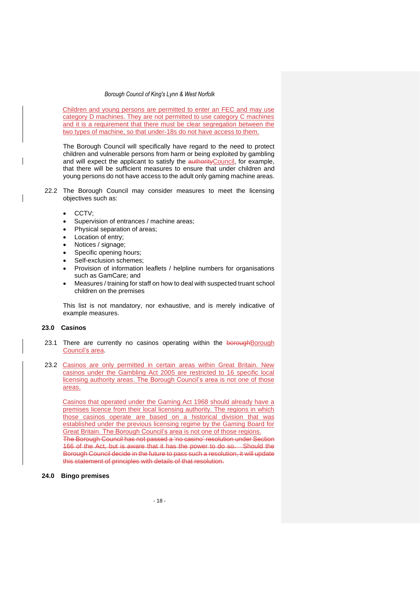Children and young persons are permitted to enter an FEC and may use category D machines. They are not permitted to use category C machines and it is a requirement that there must be clear segregation between the two types of machine, so that under-18s do not have access to them.

The Borough Council will specifically have regard to the need to protect children and vulnerable persons from harm or being exploited by gambling and will expect the applicant to satisfy the authority Council, for example, that there will be sufficient measures to ensure that under children and young persons do not have access to the adult only gaming machine areas.

- 22.2 The Borough Council may consider measures to meet the licensing objectives such as:
	- CCTV;
	- Supervision of entrances / machine areas;
	- Physical separation of areas;
	- Location of entry:
	- Notices / signage;
	- Specific opening hours;
	- Self-exclusion schemes;
	- Provision of information leaflets / helpline numbers for organisations such as GamCare; and
	- Measures / training for staff on how to deal with suspected truant school children on the premises

This list is not mandatory, nor exhaustive, and is merely indicative of example measures.

### **23.0 Casinos**

- 23.1 There are currently no casinos operating within the boroughBorough Council's area.
- 23.2 Casinos are only permitted in certain areas within Great Britain. New casinos under the Gambling Act 2005 are restricted to 16 specific local licensing authority areas. The Borough Council's area is not one of those areas.

Casinos that operated under the Gaming Act 1968 should already have a premises licence from their local licensing authority. The regions in which those casinos operate are based on a historical division that was established under the previous licensing regime by the Gaming Board for Great Britain. The Borough Council's area is not one of those regions. The Borough Council has not passed a 'no casino' resolution under Section

166 of the Act, but is aware that it has the power to do so. Should the Borough Council decide in the future to pass such a resolution, it will update this statement of principles with details of that resolution.

### **24.0 Bingo premises**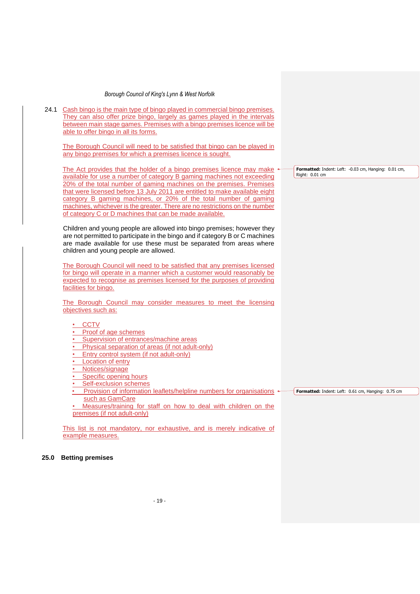24.1 Cash bingo is the main type of bingo played in commercial bingo premises. They can also offer prize bingo, largely as games played in the intervals between main stage games. Premises with a bingo premises licence will be able to offer bingo in all its forms.

The Borough Council will need to be satisfied that bingo can be played in any bingo premises for which a premises licence is sought.

The Act provides that the holder of a bingo premises licence may make available for use a number of category B gaming machines not exceeding 20% of the total number of gaming machines on the premises. Premises that were licensed before 13 July 2011 are entitled to make available eight category B gaming machines, or 20% of the total number of gaming machines, whichever is the greater. There are no restrictions on the number of category C or D machines that can be made available.

Children and young people are allowed into bingo premises; however they are not permitted to participate in the bingo and if category B or C machines are made available for use these must be separated from areas where children and young people are allowed.

The Borough Council will need to be satisfied that any premises licensed for bingo will operate in a manner which a customer would reasonably be expected to recognise as premises licensed for the purposes of providing facilities for bingo.

The Borough Council may consider measures to meet the licensing objectives such as:

### **CCTV**

### **Proof of age schemes**

- Supervision of entrances/machine areas
- Physical separation of areas (if not adult-only)
- Entry control system (if not adult-only)
- **Location of entry**
- **Notices/signage**
- Specific opening hours
- Self-exclusion schemes
- Provision of information leaflets/helpline numbers for organisations + such as GamCare

Measures/training for staff on how to deal with children on the premises (if not adult-only)

This list is not mandatory, nor exhaustive, and is merely indicative of example measures.

**25.0 Betting premises**

**Formatted:** Indent: Left: -0.03 cm, Hanging: 0.01 cm, Right: 0.01 cm

**Formatted:** Indent: Left: 0.61 cm, Hanging: 0.75 cm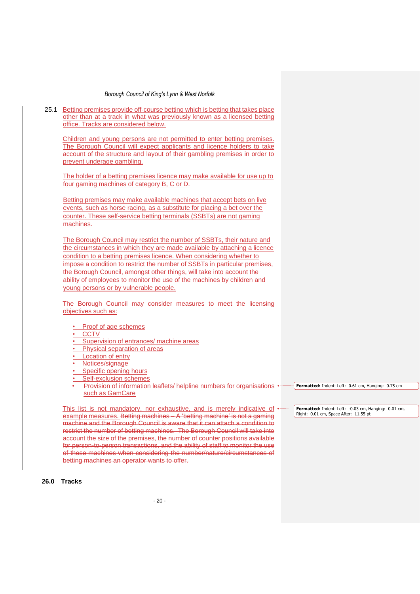25.1 Betting premises provide off-course betting which is betting that takes place other than at a track in what was previously known as a licensed betting office. Tracks are considered below. Children and young persons are not permitted to enter betting premises. The Borough Council will expect applicants and licence holders to take account of the structure and layout of their gambling premises in order to prevent underage gambling. The holder of a betting premises licence may make available for use up to four gaming machines of category B, C or D. Betting premises may make available machines that accept bets on live events, such as horse racing, as a substitute for placing a bet over the counter. These self-service betting terminals (SSBTs) are not gaming machines. The Borough Council may restrict the number of SSBTs, their nature and the circumstances in which they are made available by attaching a licence condition to a betting premises licence. When considering whether to impose a condition to restrict the number of SSBTs in particular premises, the Borough Council, amongst other things, will take into account the ability of employees to monitor the use of the machines by children and young persons or by vulnerable people. The Borough Council may consider measures to meet the licensing objectives such as: • Proof of age schemes • CCTV Supervision of entrances/ machine areas Physical separation of areas Location of entry • Notices/signage Specific opening hours Self-exclusion schemes Provision of information leaflets/ helpline numbers for organisations  $\leftarrow$ such as GamCare This list is not mandatory, nor exhaustive, and is merely indicative of  $\triangleleft$ example measures. Betting machines – A 'betting machine' is not a gaming machine and the Borough Council is aware that it can attach a condition to restrict the number of betting machines. The Borough Council will take into account the size of the premises, the number of counter positions available for person-to-person transactions, and the ability of staff to monitor the use **Formatted:** Indent: Left: 0.61 cm, Hanging: 0.75 cm **Formatted:** Indent: Left: -0.03 cm, Hanging: 0.01 cm, Right: 0.01 cm, Space After: 11.55 pt

**26.0 Tracks** 

betting machines an operator wants to offer.

of these machines when considering the number/nature/circumstances of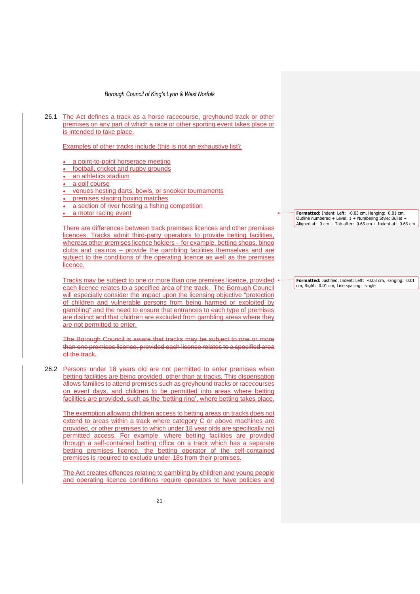| 26.1 | The Act defines a track as a horse racecourse, greyhound track or other<br>premises on any part of which a race or other sporting event takes place or<br>is intended to take place.                                                                                                                                                                                                                                                                                                                                    |  |                  |
|------|-------------------------------------------------------------------------------------------------------------------------------------------------------------------------------------------------------------------------------------------------------------------------------------------------------------------------------------------------------------------------------------------------------------------------------------------------------------------------------------------------------------------------|--|------------------|
|      | Examples of other tracks include (this is not an exhaustive list):                                                                                                                                                                                                                                                                                                                                                                                                                                                      |  |                  |
|      | a point-to-point horserace meeting<br>٠<br>• football, cricket and rugby grounds<br>• an athletics stadium<br>• a golf course<br>• venues hosting darts, bowls, or snooker tournaments<br>• premises staging boxing matches<br>• a section of river hosting a fishing competition                                                                                                                                                                                                                                       |  |                  |
|      | • a motor racing event                                                                                                                                                                                                                                                                                                                                                                                                                                                                                                  |  | Forma<br>Outline |
|      | There are differences between track premises licences and other premises<br>licences. Tracks admit third-party operators to provide betting facilities,<br>whereas other premises licence holders – for example, betting shops, bingo<br>clubs and casinos – provide the gambling facilities themselves and are<br>subject to the conditions of the operating licence as well as the premises<br>licence.                                                                                                               |  | Aligne           |
|      | Tracks may be subject to one or more than one premises licence, provided $\triangleleft$<br>each licence relates to a specified area of the track. The Borough Council<br>will especially consider the impact upon the licensing objective "protection<br>of children and vulnerable persons from being harmed or exploited by<br>gambling" and the need to ensure that entrances to each type of premises<br>are distinct and that children are excluded from gambling areas where they<br>are not permitted to enter. |  | Forma<br>cm, Ri  |
|      | The Borough Council is aware that tracks may be subject to one or more<br>than one premises licence, provided each licence relates to a specified area<br>of the track.                                                                                                                                                                                                                                                                                                                                                 |  |                  |
| 26.2 | Persons under 18 years old are not permitted to enter premises when<br>betting facilities are being provided, other than at tracks. This dispensation<br>allows families to attend premises such as greyhound tracks or racecourses                                                                                                                                                                                                                                                                                     |  |                  |

premises is required to exclude under-18s from their premises.

on event days, and children to be permitted into areas where betting facilities are provided, such as the 'betting ring', where betting takes place.

The exemption allowing children access to betting areas on tracks does not extend to areas within a track where category C or above machines are provided, or other premises to which under 18 year olds are specifically not permitted access. For example, where betting facilities are provided through a self-contained betting office on a track which has a separate betting premises licence, the betting operator of the self-contained

The Act creates offences relating to gambling by children and young people and operating licence conditions require operators to have policies and

**Formatted:** Indent: Left: -0.03 cm, Hanging: 0.01 cm, Outline numbered + Level: 1 + Numbering Style: Bullet + Aligned at: 0 cm + Tab after: 0.63 cm + Indent at: 0.63 cm

**Formatted:** Justified, Indent: Left: -0.03 cm, Hanging: 0.01 ight: 0.01 cm, Line spacing: single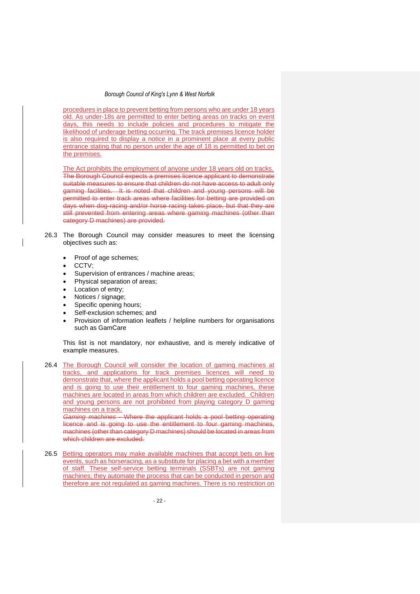procedures in place to prevent betting from persons who are under 18 years old. As under-18s are permitted to enter betting areas on tracks on event days, this needs to include policies and procedures to mitigate the likelihood of underage betting occurring. The track premises licence holder is also required to display a notice in a prominent place at every public entrance stating that no person under the age of 18 is permitted to bet on the premises.

The Act prohibits the employment of anyone under 18 years old on tracks. The Borough Council expects a premises licence applicant to demonstrate suitable measures to ensure that children do not have access to adult only gaming facilities. It is noted that children and young persons will be permitted to enter track areas where facilities for betting are provided on days when dog-racing and/or horse racing takes place, but that they are still prevented from entering areas where gaming machines (other than category D machines) are provided.

- 26.3 The Borough Council may consider measures to meet the licensing objectives such as:
	- Proof of age schemes;
	- CCTV;
	- Supervision of entrances / machine areas;
	- Physical separation of areas;
	- Location of entry;
	- Notices / signage;
	- Specific opening hours;
	- Self-exclusion schemes; and
	- Provision of information leaflets / helpline numbers for organisations such as GamCare

This list is not mandatory, nor exhaustive, and is merely indicative of example measures.

26.4 The Borough Council will consider the location of gaming machines at tracks, and applications for track premises licences will need to demonstrate that, where the applicant holds a pool betting operating licence and is going to use their entitlement to four gaming machines, these machines are located in areas from which children are excluded. Children and young persons are not prohibited from playing category D gaming machines on a track.

*Gaming machines* **-** Where the applicant holds a pool betting operating licence and is going to use the entitlement to four gaming machines, machines (other than category D machines) should be located in areas from which children are excluded.

26.5 Betting operators may make available machines that accept bets on live events, such as horseracing, as a substitute for placing a bet with a member of staff. These self-service betting terminals (SSBTs) are not gaming machines; they automate the process that can be conducted in person and therefore are not regulated as gaming machines. There is no restriction on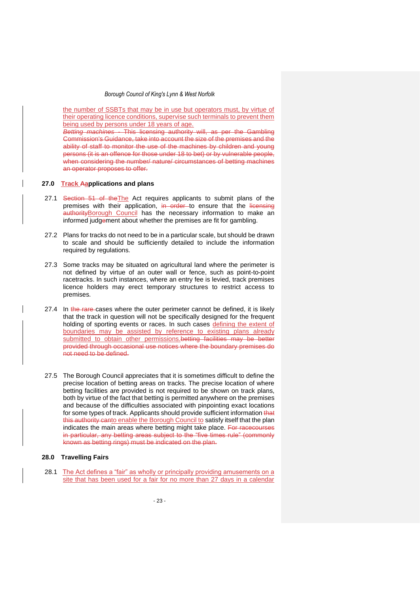the number of SSBTs that may be in use but operators must, by virtue of their operating licence conditions, supervise such terminals to prevent them being used by persons under 18 years of age.

*Betting machines -* This licensing authority will, as per the Gambling Commission's Guidance, take into account the size of the premises and the ability of staff to monitor the use of the machines by children and young persons (it is an offence for those under 18 to bet) or by vulnerable people, when considering the number/ nature/ circumstances of betting machines an operator proposes to offer.

#### **27.0 Track Aapplications and plans**

- 27.1 Section 51 of the The Act requires applicants to submit plans of the premises with their application, in order to ensure that the licensing authorityBorough Council has the necessary information to make an informed judgement about whether the premises are fit for gambling.
- 27.2 Plans for tracks do not need to be in a particular scale, but should be drawn to scale and should be sufficiently detailed to include the information required by regulations.
- 27.3 Some tracks may be situated on agricultural land where the perimeter is not defined by virtue of an outer wall or fence, such as point-to-point racetracks. In such instances, where an entry fee is levied, track premises licence holders may erect temporary structures to restrict access to premises.
- 27.4 In the rare-cases where the outer perimeter cannot be defined, it is likely that the track in question will not be specifically designed for the frequent holding of sporting events or races. In such cases defining the extent of boundaries may be assisted by reference to existing plans already submitted to obtain other permissions.betting facilities may be better provided through occasional use notices where the boundary premises do not need to be defined.
- 27.5 The Borough Council appreciates that it is sometimes difficult to define the precise location of betting areas on tracks. The precise location of where betting facilities are provided is not required to be shown on track plans, both by virtue of the fact that betting is permitted anywhere on the premises and because of the difficulties associated with pinpointing exact locations for some types of track. Applicants should provide sufficient information that this authority canto enable the Borough Council to satisfy itself that the plan indicates the main areas where betting might take place. For racecourses in particular, any betting areas subject to the "five times rule" (commonly known as betting rings) must be indicated on the plan.

#### **28.0 Travelling Fairs**

28.1 The Act defines a "fair" as wholly or principally providing amusements on a site that has been used for a fair for no more than 27 days in a calendar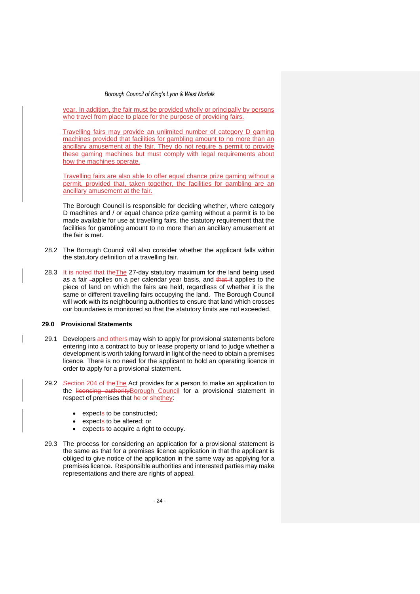year. In addition, the fair must be provided wholly or principally by persons who travel from place to place for the purpose of providing fairs.

Travelling fairs may provide an unlimited number of category D gaming machines provided that facilities for gambling amount to no more than an ancillary amusement at the fair. They do not require a permit to provide these gaming machines but must comply with legal requirements about how the machines operate.

Travelling fairs are also able to offer equal chance prize gaming without a permit, provided that, taken together, the facilities for gambling are an ancillary amusement at the fair.

The Borough Council is responsible for deciding whether, where category D machines and / or equal chance prize gaming without a permit is to be made available for use at travelling fairs, the statutory requirement that the facilities for gambling amount to no more than an ancillary amusement at the fair is met.

- 28.2 The Borough Council will also consider whether the applicant falls within the statutory definition of a travelling fair.
- 28.3 It is noted that the The 27-day statutory maximum for the land being used as a fair -applies on a per calendar year basis, and that it applies to the piece of land on which the fairs are held, regardless of whether it is the same or different travelling fairs occupying the land. The Borough Council will work with its neighbouring authorities to ensure that land which crosses our boundaries is monitored so that the statutory limits are not exceeded.

#### **29.0 Provisional Statements**

- 29.1 Developers and others may wish to apply for provisional statements before entering into a contract to buy or lease property or land to judge whether a development is worth taking forward in light of the need to obtain a premises licence. There is no need for the applicant to hold an operating licence in order to apply for a provisional statement.
- 29.2 Section 204 of the The Act provides for a person to make an application to the licensing authority Borough Council for a provisional statement in respect of premises that he or shethey:
	- expects to be constructed;
	- expects to be altered; or
	- expects to acquire a right to occupy.
- 29.3 The process for considering an application for a provisional statement is the same as that for a premises licence application in that the applicant is obliged to give notice of the application in the same way as applying for a premises licence. Responsible authorities and interested parties may make representations and there are rights of appeal.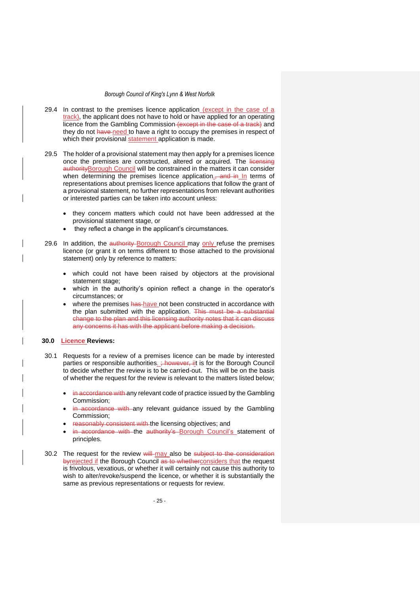- 29.4 In contrast to the premises licence application (except in the case of a track), the applicant does not have to hold or have applied for an operating licence from the Gambling Commission (except in the case of a track) and they do not have need to have a right to occupy the premises in respect of which their provisional statement application is made.
- 29.5 The holder of a provisional statement may then apply for a premises licence once the premises are constructed, altered or acquired. The licensing authorityBorough Council will be constrained in the matters it can consider when determining the premises licence application. and in In terms of representations about premises licence applications that follow the grant of a provisional statement, no further representations from relevant authorities or interested parties can be taken into account unless:
	- they concern matters which could not have been addressed at the provisional statement stage, or
	- they reflect a change in the applicant's circumstances.
- 29.6 In addition, the authority-Borough Council may only refuse the premises licence (or grant it on terms different to those attached to the provisional statement) only by reference to matters:
	- which could not have been raised by objectors at the provisional statement stage;
	- which in the authority's opinion reflect a change in the operator's circumstances; or
	- where the premises has have not been constructed in accordance with the plan submitted with the application. This must be a substantial change to the plan and this licensing authority notes that it can discuss any concerns it has with the applicant before making a decision.

#### **30.0 Licence Reviews:**

- 30.1 Requests for a review of a premises licence can be made by interested parties or responsible authorities. *; however, iit* is for the Borough Council to decide whether the review is to be carried-out. This will be on the basis of whether the request for the review is relevant to the matters listed below;
	- in accordance with any relevant code of practice issued by the Gambling Commission;
	- in accordance with any relevant guidance issued by the Gambling Commission;
	- reasonably consistent with the licensing objectives; and
	- in accordance with the authority's Borough Council's statement of principles.
- 30.2 The request for the review will may also be subject to the consideration byrejected if the Borough Council as to whetherconsiders that the request is frivolous, vexatious, or whether it will certainly not cause this authority to wish to alter/revoke/suspend the licence, or whether it is substantially the same as previous representations or requests for review.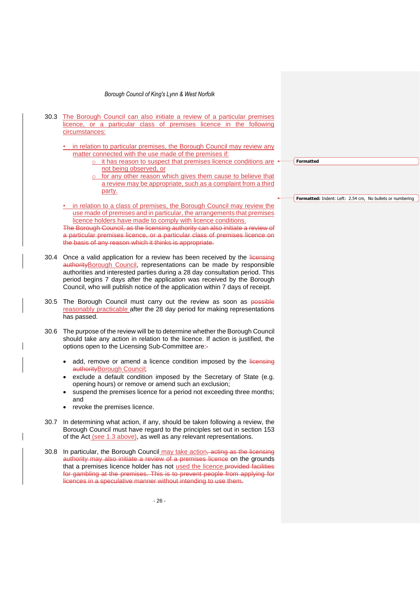- 26 - 30.3 The Borough Council can also initiate a review of a particular premises licence, or a particular class of premises licence in the following circumstances: • in relation to particular premises, the Borough Council may review any matter connected with the use made of the premises if: o it has reason to suspect that premises licence conditions are not being observed, or for any other reason which gives them cause to believe that a review may be appropriate, such as a complaint from a third party. • in relation to a class of premises, the Borough Council may review the use made of premises and in particular, the arrangements that premises licence holders have made to comply with licence conditions. The Borough Council, as the licensing authority can also initiate a review of a particular premises licence, or a particular class of premises licence on the basis of any reason which it thinks is appropriate. 30.4 Once a valid application for a review has been received by the licensing authorityBorough Council, representations can be made by responsible authorities and interested parties during a 28 day consultation period. This period begins 7 days after the application was received by the Borough Council, who will publish notice of the application within 7 days of receipt. 30.5 The Borough Council must carry out the review as soon as possible reasonably practicable after the 28 day period for making representations has passed. 30.6 The purpose of the review will be to determine whether the Borough Council should take any action in relation to the licence. If action is justified, the options open to the Licensing Sub-Committee are:- • add, remove or amend a licence condition imposed by the licensing authorityBorough Council; exclude a default condition imposed by the Secretary of State (e.g. opening hours) or remove or amend such an exclusion; suspend the premises licence for a period not exceeding three months: and revoke the premises licence. 30.7 In determining what action, if any, should be taken following a review, the Borough Council must have regard to the principles set out in section 153 of the Act (see 1.3 above), as well as any relevant representations. 30.8 In particular, the Borough Council may take action, acting as the licensing authority may also initiate a review of a premises licence on the grounds that a premises licence holder has not used the licence. provided facilities for gambling at the premises. This is to prevent people from applying for licences in a speculative manner without intending to use them. **Formatted Formatted:** Indent: Left: 2.54 cm, No bullets or numbering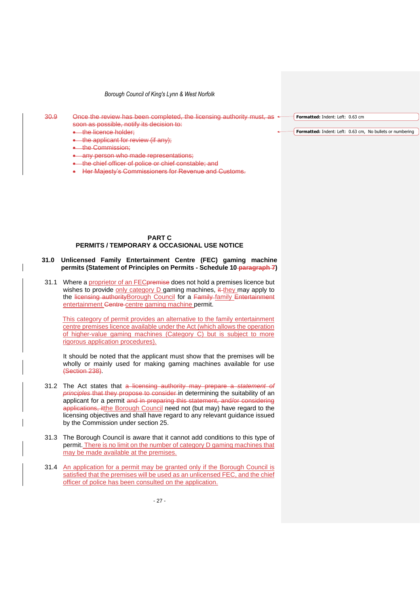$30.9$  Once the review has been completed, the licensing authority must, as  $\leftarrow$ soon as possible, notify its decision to:

• the licence holder;

- the applicant for review (if any);
- **•** the Commission;
- any person who made representations;
- the chief officer of police or chief constable; and
- Her Majesty's Commissioners for Revenue and Customs.

#### **PART C PERMITS / TEMPORARY & OCCASIONAL USE NOTICE**

### **31.0 Unlicensed Family Entertainment Centre (FEC) gaming machine permits (Statement of Principles on Permits - Schedule 10 paragraph 7)**

31.1 Where a proprietor of an FEC premise does not hold a premises licence but wishes to provide only category  $D$  gaming machines,  $\frac{d}{dt}$  they may apply to the licensing authority Borough Council for a Family family Entertainment entertainment Centre centre gaming machine permit.

This category of permit provides an alternative to the family entertainment centre premises licence available under the Act (which allows the operation of higher-value gaming machines (Category C) but is subject to more rigorous application procedures).

It should be noted that the applicant must show that the premises will be wholly or mainly used for making gaming machines available for use (Section 238).

- 31.2 The Act states that a licensing authority may prepare a *statement of principles* that they propose to consider in determining the suitability of an applicant for a permit and in preparing this statement, and/or considering applications, itthe Borough Council need not (but may) have regard to the licensing objectives and shall have regard to any relevant guidance issued by the Commission under section 25.
- 31.3 The Borough Council is aware that it cannot add conditions to this type of permit. There is no limit on the number of category D gaming machines that may be made available at the premises.
- 31.4 An application for a permit may be granted only if the Borough Council is satisfied that the premises will be used as an unlicensed FEC, and the chief officer of police has been consulted on the application.

**Formatted:** Indent: Left: 0.63 cm

**Formatted:** Indent: Left: 0.63 cm, No bullets or numbering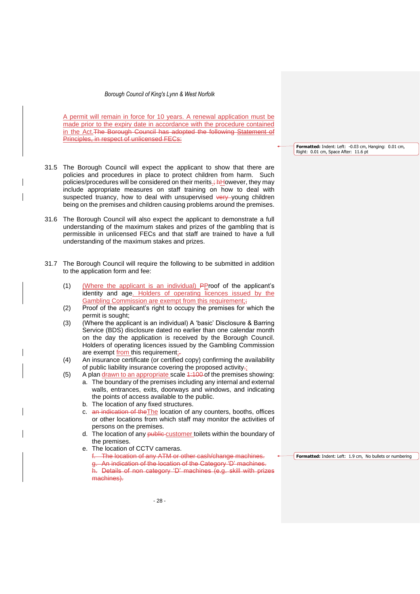A permit will remain in force for 10 years. A renewal application must be made prior to the expiry date in accordance with the procedure contained in the Act.The Borough Council has adopted the following Statement of Principles, in respect of unlicensed FECs:

- 31.5 The Borough Council will expect the applicant to show that there are policies and procedures in place to protect children from harm. Such policies/procedures will be considered on their merits.; **hHowever**, they may include appropriate measures on staff training on how to deal with suspected truancy, how to deal with unsupervised very young children being on the premises and children causing problems around the premises.
- 31.6 The Borough Council will also expect the applicant to demonstrate a full understanding of the maximum stakes and prizes of the gambling that is permissible in unlicensed FECs and that staff are trained to have a full understanding of the maximum stakes and prizes.
- 31.7 The Borough Council will require the following to be submitted in addition to the application form and fee:
	- (1) (Where the applicant is an individual) PProof of the applicant's identity and age. Holders of operating licences issued by the Gambling Commission are exempt from this requirement;;
	- (2) Proof of the applicant's right to occupy the premises for which the permit is sought;
	- (3) (Where the applicant is an individual) A 'basic' Disclosure & Barring Service (BDS) disclosure dated no earlier than one calendar month on the day the application is received by the Borough Council. Holders of operating licences issued by the Gambling Commission are exempt from this requirement;-
	- (4) An insurance certificate (or certified copy) confirming the availability of public liability insurance covering the proposed activity.;
	- (5) A plan drawn to an appropriate scale 1:100 of the premises showing:
		- a. The boundary of the premises including any internal and external walls, entrances, exits, doorways and windows, and indicating the points of access available to the public.
		- b. The location of any fixed structures.
		- c. an indication of theThe location of any counters, booths, offices or other locations from which staff may monitor the activities of persons on the premises.
		- d. The location of any **public-customer** toilets within the boundary of the premises.
		- e. The location of CCTV cameras.
			- f. The location of any ATM or other cash/change machines. g. An indication of the location of the Category 'D' machines. h. Details of non category 'D' machines (e.g. skill with prizes machines).

**Formatted:** Indent: Left: -0.03 cm, Hanging: 0.01 cm, Right: 0.01 cm, Space After: 11.6 pt

**Formatted:** Indent: Left: 1.9 cm, No bullets or numbering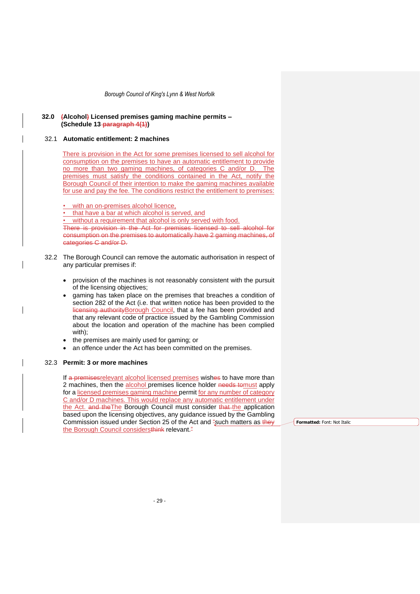#### **32.0 (Alcohol) Licensed premises gaming machine permits – (Schedule 13 paragraph 4(1))**

#### 32.1 **Automatic entitlement: 2 machines**

There is provision in the Act for some premises licensed to sell alcohol for consumption on the premises to have an automatic entitlement to provide no more than two gaming machines, of categories C and/or D. The premises must satisfy the conditions contained in the Act, notify the Borough Council of their intention to make the gaming machines available for use and pay the fee. The conditions restrict the entitlement to premises:

with an on-premises alcohol licence,

• that have a bar at which alcohol is served, and

without a requirement that alcohol is only served with food.

There is provision in the Act for premises licensed to sell alcohol for consumption on the premises to automatically have 2 gaming machines, of categories C and/or D.

- 32.2 The Borough Council can remove the automatic authorisation in respect of any particular premises if:
	- provision of the machines is not reasonably consistent with the pursuit of the licensing objectives;
	- gaming has taken place on the premises that breaches a condition of section 282 of the Act (i.e. that written notice has been provided to the licensing authority Borough Council, that a fee has been provided and that any relevant code of practice issued by the Gambling Commission about the location and operation of the machine has been complied with);
	- the premises are mainly used for gaming; or
	- an offence under the Act has been committed on the premises.

#### 32.3 **Permit: 3 or more machines**

If a premises relevant alcohol licensed premises wishes to have more than 2 machines, then the alcohol premises licence holder needs tomust apply for a licensed premises gaming machine permit for any number of category C and/or D machines. This would replace any automatic entitlement under the Act. and the The Borough Council must consider that the application based upon the licensing objectives, any guidance issued by the Gambling Commission issued under Section 25 of the Act and "such matters as they the Borough Council considersthink relevant.<sup>"</sup>

**Formatted:** Font: Not Italic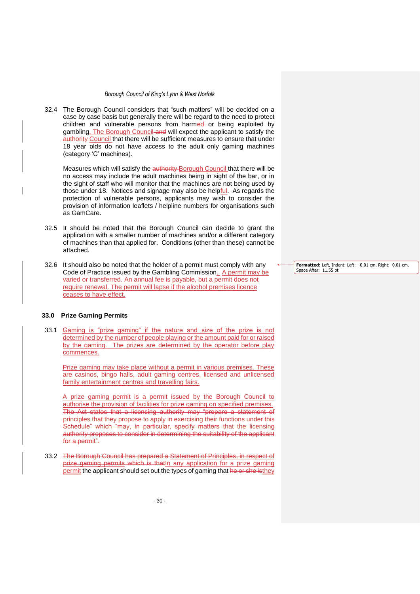32.4 The Borough Council considers that "such matters" will be decided on a case by case basis but generally there will be regard to the need to protect children and vulnerable persons from harmed or being exploited by gambling. The Borough Council and will expect the applicant to satisfy the authority Council that there will be sufficient measures to ensure that under 18 year olds do not have access to the adult only gaming machines (category 'C' machines).

Measures which will satisfy the authority Borough Council that there will be no access may include the adult machines being in sight of the bar, or in the sight of staff who will monitor that the machines are not being used by those under 18. Notices and signage may also be helpful. As regards the protection of vulnerable persons, applicants may wish to consider the provision of information leaflets / helpline numbers for organisations such as GamCare.

- 32.5 It should be noted that the Borough Council can decide to grant the application with a smaller number of machines and/or a different category of machines than that applied for. Conditions (other than these) cannot be attached.
- 32.6 It should also be noted that the holder of a permit must comply with any Code of Practice issued by the Gambling Commission. A permit may be varied or transferred. An annual fee is payable, but a permit does not require renewal. The permit will lapse if the alcohol premises licence ceases to have effect.

# **33.0 Prize Gaming Permits**

33.1 Gaming is "prize gaming" if the nature and size of the prize is not determined by the number of people playing or the amount paid for or raised by the gaming. The prizes are determined by the operator before play commences.

Prize gaming may take place without a permit in various premises. These are casinos, bingo halls, adult gaming centres, licensed and unlicensed family entertainment centres and travelling fairs.

A prize gaming permit is a permit issued by the Borough Council to authorise the provision of facilities for prize gaming on specified premises. The Act states that a licensing authority may "prepare a statement of principles that they propose to apply in exercising their functions under this Schedule" which "may, in particular, specify matters that the licensing authority proposes to consider in determining the suitability of the applicant for a permit".

33.2 The Borough Council has prepared a Statement of Principles, in respect of prize gaming permits which is that In any application for a prize gaming permit the applicant should set out the types of gaming that he or she isthey **Formatted:** Left, Indent: Left: -0.01 cm, Right: 0.01 cm, Space After: 11.55 pt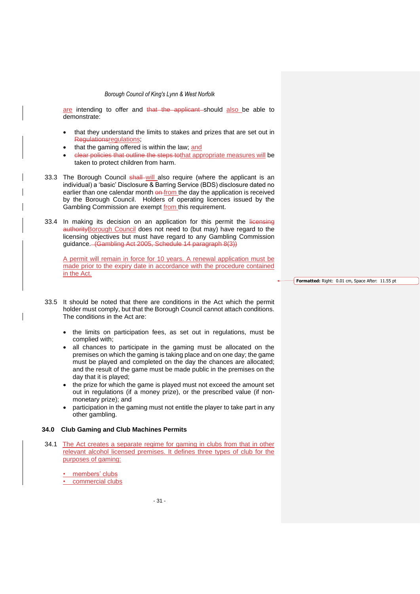are intending to offer and that the applicant should also be able to demonstrate:

- that they understand the limits to stakes and prizes that are set out in Regulationsregulations;
- that the gaming offered is within the law; and
- clear policies that outline the steps tothat appropriate measures will be taken to protect children from harm.
- 33.3 The Borough Council shall will also require (where the applicant is an individual) a 'basic' Disclosure & Barring Service (BDS) disclosure dated no earlier than one calendar month on from the day the application is received by the Borough Council. Holders of operating licences issued by the Gambling Commission are exempt from this requirement.
- 33.4 In making its decision on an application for this permit the licensing authorityBorough Council does not need to (but may) have regard to the licensing objectives but must have regard to any Gambling Commission guidance. (Gambling Act 2005, Schedule 14 paragraph 8(3))

A permit will remain in force for 10 years. A renewal application must be made prior to the expiry date in accordance with the procedure contained in the Act.

- 33.5 It should be noted that there are conditions in the Act which the permit holder must comply, but that the Borough Council cannot attach conditions. The conditions in the Act are:
	- the limits on participation fees, as set out in regulations, must be complied with;
	- all chances to participate in the gaming must be allocated on the premises on which the gaming is taking place and on one day; the game must be played and completed on the day the chances are allocated; and the result of the game must be made public in the premises on the day that it is played;
	- the prize for which the game is played must not exceed the amount set out in regulations (if a money prize), or the prescribed value (if nonmonetary prize); and
	- participation in the gaming must not entitle the player to take part in any other gambling.

#### **34.0 Club Gaming and Club Machines Permits**

34.1 The Act creates a separate regime for gaming in clubs from that in other relevant alcohol licensed premises. It defines three types of club for the purposes of gaming:

members' clubs

commercial clubs

**Formatted:** Right: 0.01 cm, Space After: 11.55 pt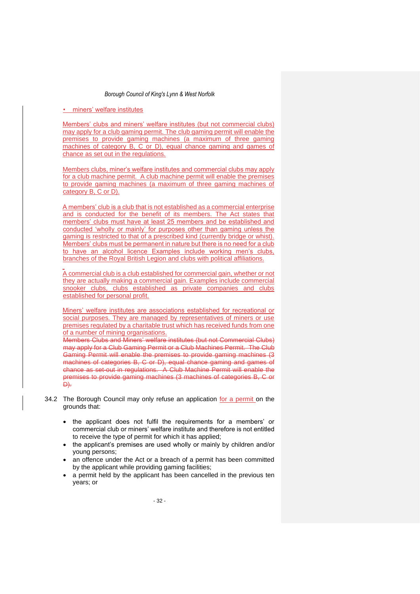• miners' welfare institutes

Members' clubs and miners' welfare institutes (but not commercial clubs) may apply for a club gaming permit. The club gaming permit will enable the premises to provide gaming machines (a maximum of three gaming machines of category B, C or D), equal chance gaming and games of chance as set out in the regulations.

Members clubs, miner's welfare institutes and commercial clubs may apply for a club machine permit. A club machine permit will enable the premises to provide gaming machines (a maximum of three gaming machines of category B, C or D).

A members' club is a club that is not established as a commercial enterprise and is conducted for the benefit of its members. The Act states that members' clubs must have at least 25 members and be established and conducted 'wholly or mainly' for purposes other than gaming unless the gaming is restricted to that of a prescribed kind (currently bridge or whist). Members' clubs must be permanent in nature but there is no need for a club to have an alcohol licence Examples include working men's clubs, branches of the Royal British Legion and clubs with political affiliations.

A commercial club is a club established for commercial gain, whether or not they are actually making a commercial gain. Examples include commercial snooker clubs, clubs established as private companies and clubs established for personal profit.

Miners' welfare institutes are associations established for recreational or social purposes. They are managed by representatives of miners or use premises regulated by a charitable trust which has received funds from one of a number of mining organisations.

Members Clubs and Miners' welfare institutes (but not Commercial Clubs) may apply for a Club Gaming Permit or a Club Machines Permit. The Club Gaming Permit will enable the premises to provide gaming machines (3 machines of categories B, C or D), equal chance gaming and games of chance as set-out in regulations. A Club Machine Permit will enable the premises to provide gaming machines (3 machines of categories B, C or D).

- 34.2 The Borough Council may only refuse an application for a permit on the grounds that:
	- the applicant does not fulfil the requirements for a members' or commercial club or miners' welfare institute and therefore is not entitled to receive the type of permit for which it has applied;
	- the applicant's premises are used wholly or mainly by children and/or young persons;
	- an offence under the Act or a breach of a permit has been committed by the applicant while providing gaming facilities;
	- a permit held by the applicant has been cancelled in the previous ten years; or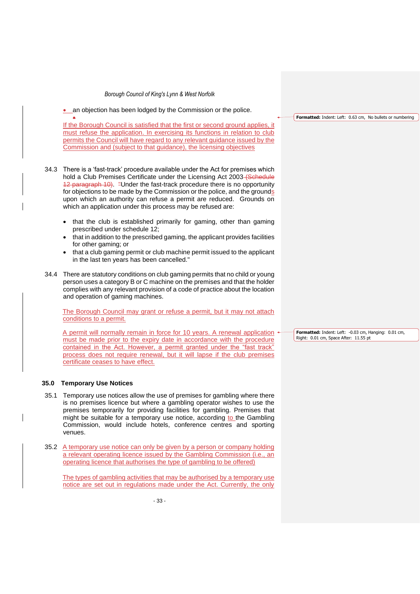an objection has been lodged by the Commission or the police.

• If the Borough Council is satisfied that the first or second ground applies, it must refuse the application. In exercising its functions in relation to club permits the Council will have regard to any relevant guidance issued by the Commission and (subject to that guidance), the licensing objectives

34.3 There is a 'fast-track' procedure available under the Act for premises which hold a Club Premises Certificate under the Licensing Act 2003 (Schedule 12 paragraph 10). "Under the fast-track procedure there is no opportunity for objections to be made by the Commission or the police, and the grounds upon which an authority can refuse a permit are reduced. Grounds on which an application under this process may be refused are:

- that the club is established primarily for gaming, other than gaming prescribed under schedule 12;
- that in addition to the prescribed gaming, the applicant provides facilities for other gaming; or
- that a club gaming permit or club machine permit issued to the applicant in the last ten years has been cancelled."
- 34.4 There are statutory conditions on club gaming permits that no child or young person uses a category B or C machine on the premises and that the holder complies with any relevant provision of a code of practice about the location and operation of gaming machines.

The Borough Council may grant or refuse a permit, but it may not attach conditions to a permit.

A permit will normally remain in force for 10 years. A renewal application must be made prior to the expiry date in accordance with the procedure contained in the Act. However, a permit granted under the "fast track" process does not require renewal, but it will lapse if the club premises certificate ceases to have effect.

### **35.0 Temporary Use Notices**

- 35.1 Temporary use notices allow the use of premises for gambling where there is no premises licence but where a gambling operator wishes to use the premises temporarily for providing facilities for gambling. Premises that might be suitable for a temporary use notice, according to the Gambling Commission, would include hotels, conference centres and sporting venues.
- 35.2 A temporary use notice can only be given by a person or company holding a relevant operating licence issued by the Gambling Commission (i.e., an operating licence that authorises the type of gambling to be offered)

The types of gambling activities that may be authorised by a temporary use notice are set out in regulations made under the Act. Currently, the only

**Formatted:** Indent: Left: 0.63 cm, No bullets or numbering

**Formatted:** Indent: Left: -0.03 cm, Hanging: 0.01 cm, Right: 0.01 cm, Space After: 11.55 pt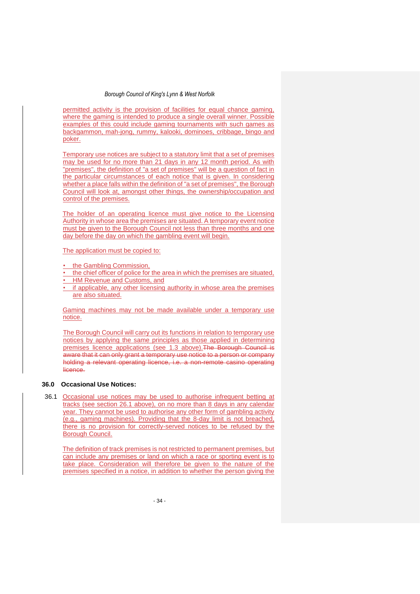permitted activity is the provision of facilities for equal chance gaming, where the gaming is intended to produce a single overall winner. Possible examples of this could include gaming tournaments with such games as backgammon, mah-jong, rummy, kalooki, dominoes, cribbage, bingo and poker.

Temporary use notices are subject to a statutory limit that a set of premises may be used for no more than 21 days in any 12 month period. As with "premises", the definition of "a set of premises" will be a question of fact in the particular circumstances of each notice that is given. In considering whether a place falls within the definition of "a set of premises", the Borough Council will look at, amongst other things, the ownership/occupation and control of the premises.

The holder of an operating licence must give notice to the Licensing Authority in whose area the premises are situated. A temporary event notice must be given to the Borough Council not less than three months and one day before the day on which the gambling event will begin.

The application must be copied to:

- the Gambling Commission,
- the chief officer of police for the area in which the premises are situated,
- HM Revenue and Customs, and
- if applicable, any other licensing authority in whose area the premises are also situated.

Gaming machines may not be made available under a temporary use notice.

The Borough Council will carry out its functions in relation to temporary use notices by applying the same principles as those applied in determining premises licence applications (see 1.3 above). The Borough Council is aware that it can only grant a temporary use notice to a person or company holding a relevant operating licence, i.e. a non-remote casino operating licence.

### **36.0 Occasional Use Notices:**

36.1 Occasional use notices may be used to authorise infrequent betting at tracks (see section 26.1 above), on no more than 8 days in any calendar year. They cannot be used to authorise any other form of gambling activity (e.g., gaming machines). Providing that the 8-day limit is not breached, there is no provision for correctly-served notices to be refused by the Borough Council.

The definition of track premises is not restricted to permanent premises, but can include any premises or land on which a race or sporting event is to take place. Consideration will therefore be given to the nature of the premises specified in a notice, in addition to whether the person giving the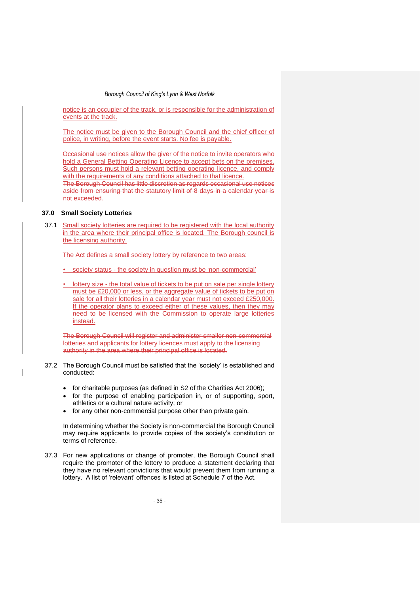notice is an occupier of the track, or is responsible for the administration of events at the track.

The notice must be given to the Borough Council and the chief officer of police, in writing, before the event starts. No fee is payable.

Occasional use notices allow the giver of the notice to invite operators who hold a General Betting Operating Licence to accept bets on the premises. Such persons must hold a relevant betting operating licence, and comply with the requirements of any conditions attached to that licence.

The Borough Council has little discretion as regards occasional use notices aside from ensuring that the statutory limit of 8 days in a calendar year is not exceeded.

## **37.0 Small Society Lotteries**

37.1 Small society lotteries are required to be registered with the local authority in the area where their principal office is located. The Borough council is the licensing authority.

The Act defines a small society lottery by reference to two areas:

• society status - the society in question must be 'non-commercial'

lottery size - the total value of tickets to be put on sale per single lottery must be £20,000 or less, or the aggregate value of tickets to be put on sale for all their lotteries in a calendar year must not exceed £250,000. If the operator plans to exceed either of these values, then they may need to be licensed with the Commission to operate large lotteries instead.

The Borough Council will register and administer smaller non-commercial lotteries and applicants for lottery licences must apply to the licensing authority in the area where their principal office is located.

37.2 The Borough Council must be satisfied that the 'society' is established and conducted:

- for charitable purposes (as defined in S2 of the Charities Act 2006);
- for the purpose of enabling participation in, or of supporting, sport, athletics or a cultural nature activity; or
- for any other non-commercial purpose other than private gain.

In determining whether the Society is non-commercial the Borough Council may require applicants to provide copies of the society's constitution or terms of reference.

37.3 For new applications or change of promoter, the Borough Council shall require the promoter of the lottery to produce a statement declaring that they have no relevant convictions that would prevent them from running a lottery. A list of 'relevant' offences is listed at Schedule 7 of the Act.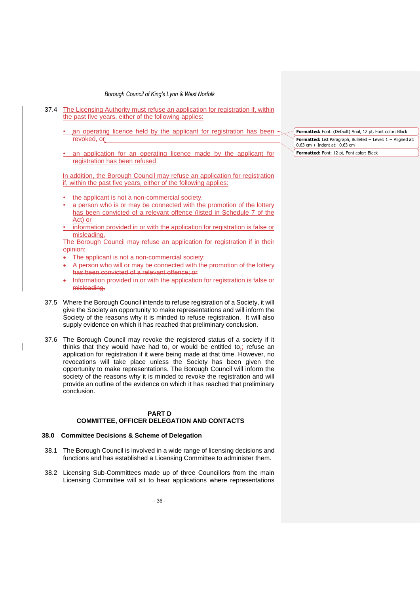- 37.4 The Licensing Authority must refuse an application for registration if, within the past five years, either of the following applies:
	- an operating licence held by the applicant for registration has been revoked, or
	- an application for an operating licence made by the applicant for registration has been refused

In addition, the Borough Council may refuse an application for registration if, within the past five years, either of the following applies:

the applicant is not a non-commercial society,

- a person who is or may be connected with the promotion of the lottery has been convicted of a relevant offence (listed in Schedule 7 of the Act) or
- information provided in or with the application for registration is false or misleading.

The Borough Council may refuse an application for registration if in their opinion:

- The applicant is not a non-commercial society;
- A person who will or may be connected with the promotion of the lottery has been convicted of a relevant offence; or
- Information provided in or with the application for registration is false or misleading.
- 37.5 Where the Borough Council intends to refuse registration of a Society, it will give the Society an opportunity to make representations and will inform the Society of the reasons why it is minded to refuse registration. It will also supply evidence on which it has reached that preliminary conclusion.
- 37.6 The Borough Council may revoke the registered status of a society if it thinks that they would have had to<sub>r</sub> or would be entitled to, refuse an application for registration if it were being made at that time. However, no revocations will take place unless the Society has been given the opportunity to make representations. The Borough Council will inform the society of the reasons why it is minded to revoke the registration and will provide an outline of the evidence on which it has reached that preliminary conclusion.

#### **PART D COMMITTEE, OFFICER DELEGATION AND CONTACTS**

### **38.0 Committee Decisions & Scheme of Delegation**

- 38.1 The Borough Council is involved in a wide range of licensing decisions and functions and has established a Licensing Committee to administer them.
- 38.2 Licensing Sub-Committees made up of three Councillors from the main Licensing Committee will sit to hear applications where representations

**Formatted:** Font: (Default) Arial, 12 pt, Font color: Black **Formatted:** List Paragraph, Bulleted + Level: 1 + Aligned at: 0.63 cm + Indent at: 0.63 cm **Formatted:** Font: 12 pt, Font color: Black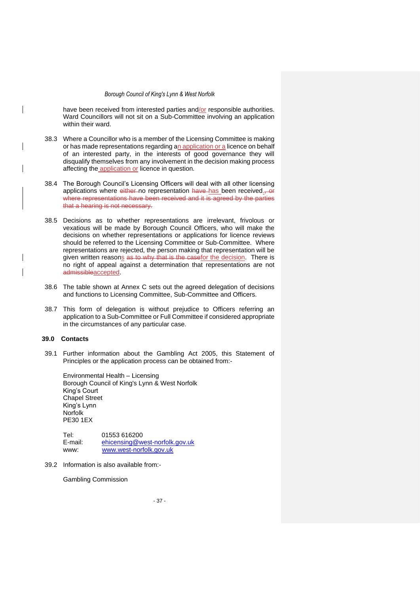have been received from interested parties and/or responsible authorities. Ward Councillors will not sit on a Sub-Committee involving an application within their ward.

- 38.3 Where a Councillor who is a member of the Licensing Committee is making or has made representations regarding an application or a licence on behalf of an interested party, in the interests of good governance they will disqualify themselves from any involvement in the decision making process affecting the application or licence in question.
- 38.4 The Borough Council's Licensing Officers will deal with all other licensing applications where either no representation have has been received. or where representations have been received and it is agreed by the parties that a hearing is not necessary.
- 38.5 Decisions as to whether representations are irrelevant, frivolous or vexatious will be made by Borough Council Officers, who will make the decisions on whether representations or applications for licence reviews should be referred to the Licensing Committee or Sub-Committee. Where representations are rejected, the person making that representation will be given written reasons as to why that is the casefor the decision. There is no right of appeal against a determination that representations are not admissibleaccepted.
- 38.6 The table shown at Annex C sets out the agreed delegation of decisions and functions to Licensing Committee, Sub-Committee and Officers.
- 38.7 This form of delegation is without prejudice to Officers referring an application to a Sub-Committee or Full Committee if considered appropriate in the circumstances of any particular case.

## **39.0 Contacts**

39.1 Further information about the Gambling Act 2005, this Statement of Principles or the application process can be obtained from:-

Environmental Health – Licensing Borough Council of King's Lynn & West Norfolk King's Court Chapel Street King's Lynn Norfolk PE30 1EX

| Tel:    | 01553 616200                   |
|---------|--------------------------------|
| E-mail: | ehicensing@west-norfolk.gov.uk |
| www:    | www.west-norfolk.gov.uk        |

39.2 Information is also available from:-

Gambling Commission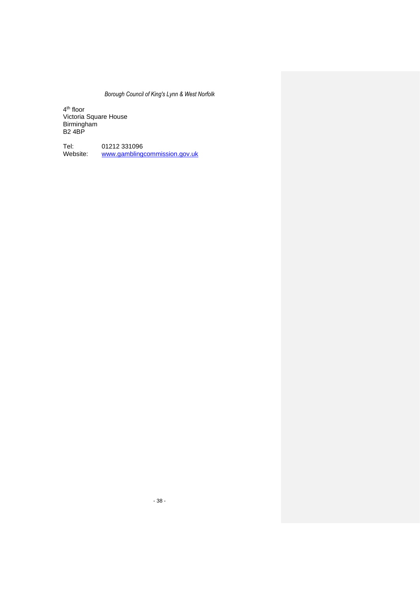4<sup>th</sup> floor Victoria Square House Birmingham B2 4BP

Tel: 01212 331096<br>Website: www.gambling www.gamblingcommission.gov.uk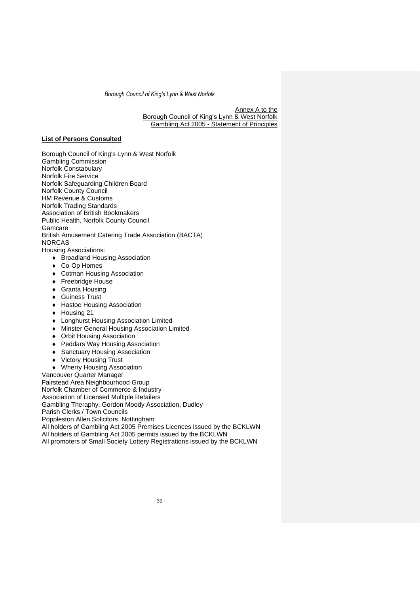Annex A to the Borough Council of King's Lynn & West Norfolk Gambling Act 2005 - Statement of Principles

# **List of Persons Consulted**

Borough Council of King's Lynn & West Norfolk Gambling Commission Norfolk Constabulary Norfolk Fire Service Norfolk Safeguarding Children Board Norfolk County Council HM Revenue & Customs Norfolk Trading Standards Association of British Bookmakers Public Health, Norfolk County Council **Gamcare** British Amusement Catering Trade Association (BACTA) NORCAS

Housing Associations:

- ◆ Broadland Housing Association
- ◆ Co-Op Homes
- Cotman Housing Association
- ◆ Freebridge House
- Granta Housing
- ◆ Guiness Trust
- Hastoe Housing Association
- ◆ Housing 21
- ◆ Longhurst Housing Association Limited
- Minster General Housing Association Limited
- Orbit Housing Association
- ◆ Peddars Way Housing Association
- ◆ Sanctuary Housing Association
- Victory Housing Trust
- ◆ Wherry Housing Association

Vancouver Quarter Manager Fairstead Area Neighbourhood Group

Norfolk Chamber of Commerce & Industry

Association of Licensed Multiple Retailers

Gambling Theraphy, Gordon Moody Association, Dudley

Parish Clerks / Town Councils

Poppleston Allen Solicitors, Nottingham

All holders of Gambling Act 2005 Premises Licences issued by the BCKLWN

All holders of Gambling Act 2005 permits issued by the BCKLWN

All promoters of Small Society Lottery Registrations issued by the BCKLWN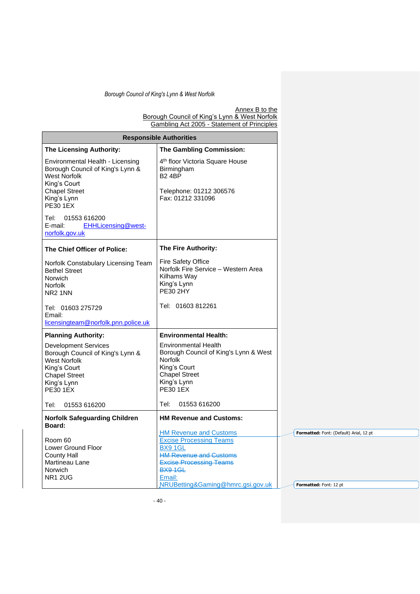Annex B to the Borough Council of King's Lynn & West Norfolk Gambling Act 2005 - Statement of Principles

| <b>Responsible Authorities</b>                                                                                                                                   |                                                                                                                                                                        |  |  |
|------------------------------------------------------------------------------------------------------------------------------------------------------------------|------------------------------------------------------------------------------------------------------------------------------------------------------------------------|--|--|
| <b>The Licensing Authority:</b>                                                                                                                                  | The Gambling Commission:                                                                                                                                               |  |  |
| Environmental Health - Licensing<br>Borough Council of King's Lynn &<br><b>West Norfolk</b><br>King's Court<br><b>Chapel Street</b><br>King's Lynn               | 4 <sup>th</sup> floor Victoria Square House<br>Birmingham<br><b>B24BP</b><br>Telephone: 01212 306576<br>Fax: 01212 331096                                              |  |  |
| <b>PE30 1EX</b>                                                                                                                                                  |                                                                                                                                                                        |  |  |
| 01553 616200<br>Tel:<br>E-mail:<br>EHHLicensing@west-<br>norfolk.gov.uk                                                                                          |                                                                                                                                                                        |  |  |
| The Chief Officer of Police:                                                                                                                                     | The Fire Authority:                                                                                                                                                    |  |  |
| Norfolk Constabulary Licensing Team<br><b>Bethel Street</b><br>Norwich<br>Norfolk<br>NR <sub>2</sub> 1NN                                                         | Fire Safety Office<br>Norfolk Fire Service - Western Area<br>Kilhams Way<br>King's Lynn<br><b>PE30 2HY</b>                                                             |  |  |
| Tel: 01603 275729<br>Email:<br>licensingteam@norfolk.pnn.police.uk                                                                                               | Tel: 01603 812261                                                                                                                                                      |  |  |
| <b>Planning Authority:</b>                                                                                                                                       | <b>Environmental Health:</b>                                                                                                                                           |  |  |
| <b>Development Services</b><br>Borough Council of King's Lynn &<br><b>West Norfolk</b><br>King's Court<br><b>Chapel Street</b><br>King's Lynn<br><b>PE30 1EX</b> | <b>Environmental Health</b><br>Borough Council of King's Lynn & West<br><b>Norfolk</b><br>King's Court<br><b>Chapel Street</b><br>King's Lynn<br><b>PE30 1EX</b>       |  |  |
| 01553 616200<br>Tel:                                                                                                                                             | 01553 616200<br>Tel:                                                                                                                                                   |  |  |
| <b>Norfolk Safeguarding Children</b><br>Board:                                                                                                                   | <b>HM Revenue and Customs:</b><br><b>HM Revenue and Customs</b>                                                                                                        |  |  |
| Room 60<br>Lower Ground Floor<br><b>County Hall</b><br>Martineau Lane<br>Norwich<br><b>NR1 2UG</b>                                                               | <b>Excise Processing Teams</b><br>BX9 1GL<br><b>HM Revenue and Customs</b><br><b>Excise Processing Teams</b><br>BX9 1GL<br>Email:<br>NRUBetting&Gaming@hmrc.gsi.gov.uk |  |  |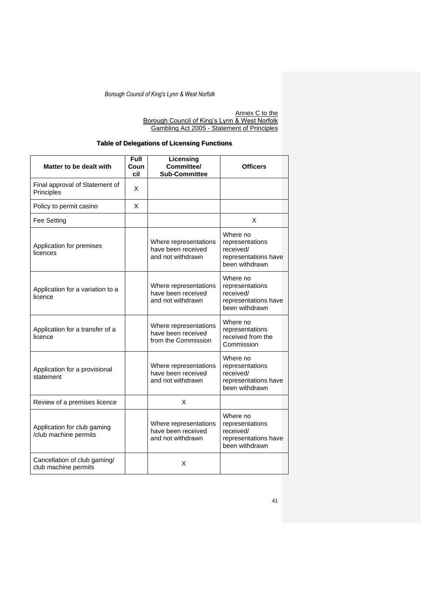Annex C to the Borough Council of King's Lynn & West Norfolk Gambling Act 2005 - Statement of Principles

# **Table of Delegations of Licensing Functions**

| Matter to be dealt with                              | <b>Full</b><br>Coun<br>cil | Licensing<br>Committee/<br><b>Sub-Committee</b>                    | <b>Officers</b>                                                                    |
|------------------------------------------------------|----------------------------|--------------------------------------------------------------------|------------------------------------------------------------------------------------|
| Final approval of Statement of<br>Principles         | X                          |                                                                    |                                                                                    |
| Policy to permit casino                              | X                          |                                                                    |                                                                                    |
| Fee Setting                                          |                            |                                                                    | X                                                                                  |
| Application for premises<br>licences                 |                            | Where representations<br>have been received<br>and not withdrawn   | Where no<br>representations<br>received/<br>representations have<br>been withdrawn |
| Application for a variation to a<br>licence          |                            | Where representations<br>have been received<br>and not withdrawn   | Where no<br>representations<br>received/<br>representations have<br>been withdrawn |
| Application for a transfer of a<br>licence           |                            | Where representations<br>have been received<br>from the Commission | Where no<br>representations<br>received from the<br>Commission                     |
| Application for a provisional<br>statement           |                            | Where representations<br>have been received<br>and not withdrawn   | Where no<br>representations<br>received/<br>representations have<br>been withdrawn |
| Review of a premises licence                         |                            | X                                                                  |                                                                                    |
| Application for club gaming<br>/club machine permits |                            | Where representations<br>have been received<br>and not withdrawn   | Where no<br>representations<br>received/<br>representations have<br>been withdrawn |
| Cancellation of club gaming/<br>club machine permits |                            | X                                                                  |                                                                                    |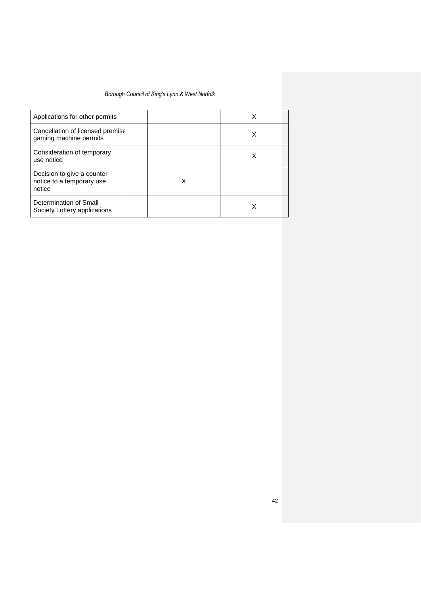| Applications for other permits                                    |   | X |
|-------------------------------------------------------------------|---|---|
| Cancellation of licensed premise<br>gaming machine permits        |   | х |
| Consideration of temporary<br>use notice                          |   | x |
| Decision to give a counter<br>notice to a temporary use<br>notice | X |   |
| Determination of Small<br>Society Lottery applications            |   |   |